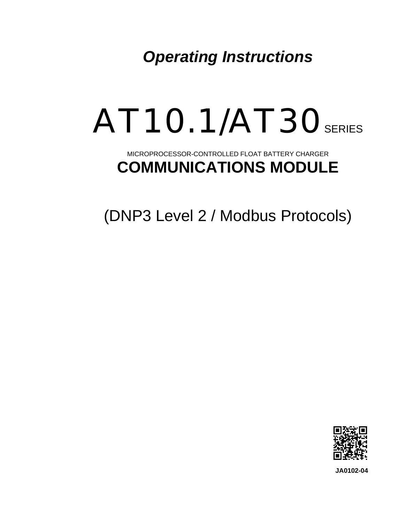*Operating Instructions* 

# AT10.1/AT30 SERIES

# MICROPROCESSOR-CONTROLLED FLOAT BATTERY CHARGER **COMMUNICATIONS MODULE**

(DNP3 Level 2 / Modbus Protocols)



**JA0102-04**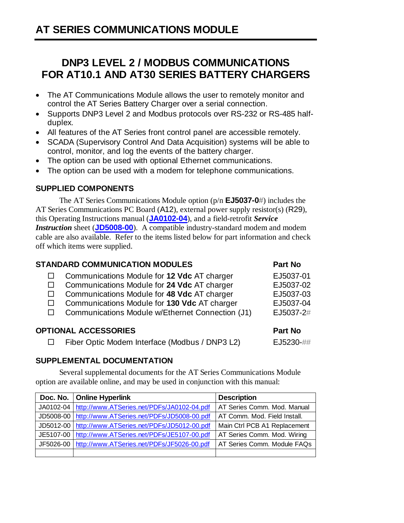# **DNP3 LEVEL 2 / MODBUS COMMUNICATIONS FOR AT10.1 AND AT30 SERIES BATTERY CHARGERS**

- The AT Communications Module allows the user to remotely monitor and control the AT Series Battery Charger over a serial connection.
- Supports DNP3 Level 2 and Modbus protocols over RS-232 or RS-485 halfduplex.
- All features of the AT Series front control panel are accessible remotely.
- SCADA (Supervisory Control And Data Acquisition) systems will be able to control, monitor, and log the events of the battery charger.
- The option can be used with optional Ethernet communications.
- The option can be used with a modem for telephone communications.

#### **SUPPLIED COMPONENTS**

 The AT Series Communications Module option (p/n **EJ5037-0#**) includes the AT Series Communications PC Board (A12), external power supply resistor(s) (R29), this Operating Instructions manual (**[JA0102-04](http://www.atseries.net/PDFs/JA0102-04.pdf)**), and a field-retrofit *Service Instruction* sheet (**[JD5008-00](http://www.atseries.net/PDFs/JD5008-00.pdf)**). A compatible industry-standard modem and modem cable are also available. Refer to the items listed below for part information and check off which items were supplied.

## **STANDARD COMMUNICATION MODULES Part No**  Communications Module for **12 Vdc** AT charger EJ5037-01 □ Communications Module for 24 Vdc AT charger EJ5037-02 Communications Module for **48 Vdc** AT charger EJ5037-03 Communications Module for **130 Vdc** AT charger EJ5037-04 □ Communications Module w/Ethernet Connection (J1) EJ5037-2# **OPTIONAL ACCESSORIES Part No 2012**

□ Fiber Optic Modem Interface (Modbus / DNP3 L2) EJ5230-##

## **SUPPLEMENTAL DOCUMENTATION**

 Several supplemental documents for the AT Series Communications Module option are available online, and may be used in conjunction with this manual:

|           | Doc. No.   Online Hyperlink                | <b>Description</b>           |
|-----------|--------------------------------------------|------------------------------|
| JA0102-04 | http://www.ATSeries.net/PDFs/JA0102-04.pdf | AT Series Comm. Mod. Manual  |
| JD5008-00 | http://www.ATSeries.net/PDFs/JD5008-00.pdf | AT Comm. Mod. Field Install. |
| JD5012-00 | http://www.ATSeries.net/PDFs/JD5012-00.pdf | Main Ctrl PCB A1 Replacement |
| JE5107-00 | http://www.ATSeries.net/PDFs/JE5107-00.pdf | AT Series Comm. Mod. Wiring  |
| JF5026-00 | http://www.ATSeries.net/PDFs/JF5026-00.pdf | AT Series Comm. Module FAQs  |
|           |                                            |                              |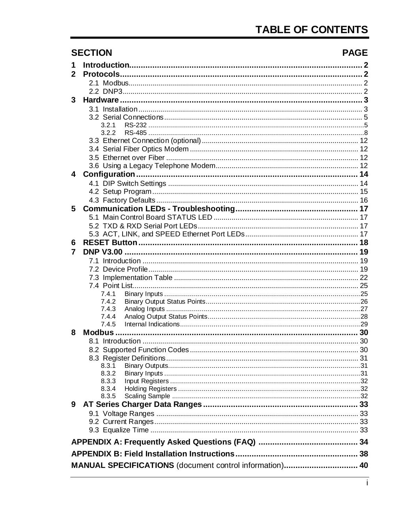|              | <b>SECTION</b>                                          | <b>PAGE</b> |
|--------------|---------------------------------------------------------|-------------|
| 1            |                                                         |             |
| $\mathbf{2}$ |                                                         |             |
|              |                                                         |             |
|              |                                                         |             |
| 3            |                                                         |             |
|              |                                                         |             |
|              |                                                         |             |
|              | 3.2.1                                                   |             |
|              | 3.2.2                                                   |             |
|              |                                                         |             |
|              |                                                         |             |
|              |                                                         |             |
|              |                                                         |             |
| 4            |                                                         |             |
|              |                                                         |             |
|              |                                                         |             |
|              |                                                         |             |
| 5            |                                                         |             |
|              |                                                         |             |
|              |                                                         |             |
|              |                                                         |             |
| 6            |                                                         |             |
| 7            |                                                         |             |
|              |                                                         |             |
|              |                                                         |             |
|              |                                                         |             |
|              |                                                         |             |
|              | 7.4.1                                                   |             |
|              | 7.4.2                                                   |             |
|              | 7.4.3                                                   |             |
|              | 7.4.4                                                   |             |
|              | 7.4.5                                                   |             |
| 8            |                                                         |             |
|              |                                                         |             |
|              |                                                         |             |
|              |                                                         |             |
|              | 8.3.1                                                   |             |
|              | 8.3.2                                                   |             |
|              | 8.3.3                                                   |             |
|              | 8.3.4                                                   |             |
|              | 8.3.5                                                   |             |
| 9            |                                                         |             |
|              |                                                         |             |
|              |                                                         |             |
|              |                                                         |             |
|              |                                                         |             |
|              |                                                         |             |
|              |                                                         |             |
|              | MANUAL SPECIFICATIONS (document control information) 40 |             |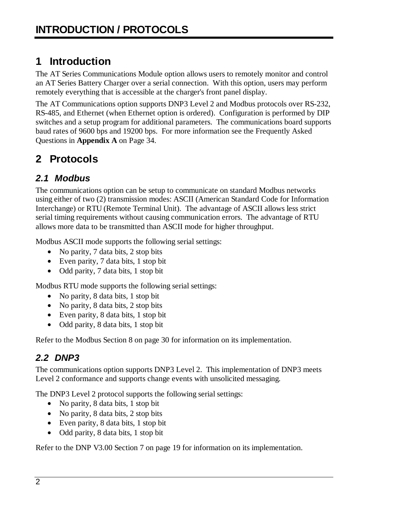# <span id="page-3-0"></span>**1 Introduction**

The AT Series Communications Module option allows users to remotely monitor and control an AT Series Battery Charger over a serial connection. With this option, users may perform remotely everything that is accessible at the charger's front panel display.

The AT Communications option supports DNP3 Level 2 and Modbus protocols over RS-232, RS-485, and Ethernet (when Ethernet option is ordered). Configuration is performed by DIP switches and a setup program for additional parameters. The communications board supports baud rates of 9600 bps and 19200 bps. For more information see the Frequently Asked Questions in **Appendix A** on Page [34.](#page-35-0)

# <span id="page-3-1"></span>**2 Protocols**

## <span id="page-3-2"></span>*2.1 Modbus*

The communications option can be setup to communicate on standard Modbus networks using either of two (2) transmission modes: ASCII (American Standard Code for Information Interchange) or RTU (Remote Terminal Unit). The advantage of ASCII allows less strict serial timing requirements without causing communication errors. The advantage of RTU allows more data to be transmitted than ASCII mode for higher throughput.

Modbus ASCII mode supports the following serial settings:

- No parity, 7 data bits, 2 stop bits
- Even parity, 7 data bits, 1 stop bit
- Odd parity, 7 data bits, 1 stop bit

Modbus RTU mode supports the following serial settings:

- No parity, 8 data bits, 1 stop bit
- No parity, 8 data bits, 2 stop bits
- Even parity, 8 data bits, 1 stop bit
- Odd parity, 8 data bits, 1 stop bit

Refer to the [Modbus](#page-31-0) Section 8 on page [30](#page-31-0) for information on its implementation.

## <span id="page-3-3"></span>*2.2 DNP3*

The communications option supports DNP3 Level 2. This implementation of DNP3 meets Level 2 conformance and supports change events with unsolicited messaging.

The DNP3 Level 2 protocol supports the following serial settings:

- No parity, 8 data bits, 1 stop bit
- No parity, 8 data bits, 2 stop bits
- Even parity, 8 data bits, 1 stop bit
- Odd parity, 8 data bits, 1 stop bit

Refer to the [DNP V3.00](#page-20-0) Section 7 on page [19](#page-20-0) for information on its implementation.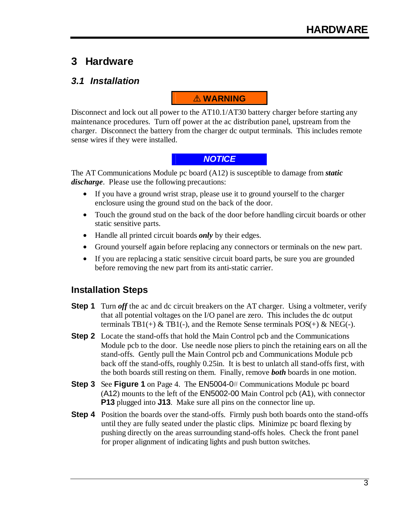## <span id="page-4-0"></span>**3 Hardware**

## <span id="page-4-1"></span>*3.1 Installation*

## ! **WARNING**

Disconnect and lock out all power to the AT10.1/AT30 battery charger before starting any maintenance procedures. Turn off power at the ac distribution panel, upstream from the charger. Disconnect the battery from the charger dc output terminals. This includes remote sense wires if they were installed.

#### *NOTICE*

The AT Communications Module pc board (A12) is susceptible to damage from *static discharge*. Please use the following precautions:

- If you have a ground wrist strap, please use it to ground yourself to the charger enclosure using the ground stud on the back of the door.
- Touch the ground stud on the back of the door before handling circuit boards or other static sensitive parts.
- Handle all printed circuit boards *only* by their edges.
- Ground yourself again before replacing any connectors or terminals on the new part.
- If you are replacing a static sensitive circuit board parts, be sure you are grounded before removing the new part from its anti-static carrier.

## **Installation Steps**

- **Step 1** Turn *off* the ac and dc circuit breakers on the AT charger. Using a voltmeter, verify that all potential voltages on the I/O panel are zero. This includes the dc output terminals TB1(+) & TB1(-), and the Remote Sense terminals  $POS(+)$  & NEG(-).
- **Step 2** Locate the stand-offs that hold the Main Control pcb and the Communications Module pcb to the door. Use needle nose pliers to pinch the retaining ears on all the stand-offs. Gently pull the Main Control pcb and Communications Module pcb back off the stand-offs, roughly 0.25in. It is best to unlatch all stand-offs first, with the both boards still resting on them. Finally, remove *both* boards in one motion.
- **Step 3** See **Figure 1** on Page [4.](#page-5-0) The EN5004-0# Communications Module pc board (A12) mounts to the left of the EN5002-00 Main Control pcb (A1), with connector **P13** plugged into **J13**. Make sure all pins on the connector line up.
- **Step 4** Position the boards over the stand-offs. Firmly push both boards onto the stand-offs until they are fully seated under the plastic clips. Minimize pc board flexing by pushing directly on the areas surrounding stand-offs holes. Check the front panel for proper alignment of indicating lights and push button switches.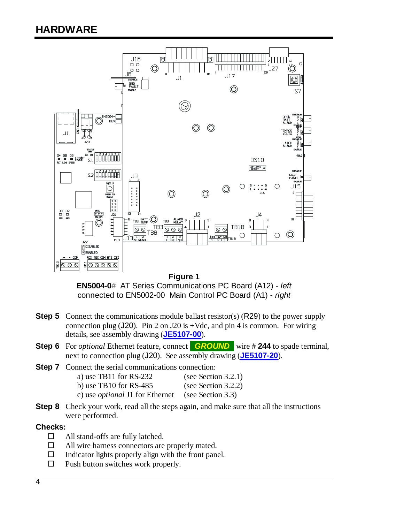<span id="page-5-0"></span>

#### **Figure 1**

**EN5004-0#** AT Series Communications PC Board (A12) - *left* connected to EN5002-00 Main Control PC Board (A1) - *right*

- **Step 5** Connect the communications module ballast resistor(s) (R29) to the power supply connection plug (J20). Pin 2 on J20 is +Vdc, and pin 4 is common. For wiring details, see assembly drawing (**[JE5107-00](http://www.atseries.net/PDFs/JE5107-00.pdf)**).
- **Step 6** For *optional* Ethernet feature, connect **.** *GROUND***.** wire # **244** to spade terminal, next to connection plug (J20). See assembly drawing (**[JE5107-20](http://www.atseries.net/PDFs/JE5107-20.pdf)**).
- **Step 7** Connect the serial communications connection: a) use TB11 for RS-232 (see Section [3.2.1\)](#page-6-1)
	- b) use TB10 for RS-485 (see Section [3.2.2\)](#page-9-0)
	- c) use *optional* J1 for Ethernet (see Section [3.3\)](#page-13-0)
- **Step 8** Check your work, read all the steps again, and make sure that all the instructions were performed.

#### **Checks:**

- $\Box$  All stand-offs are fully latched.
- $\Box$  All wire harness connectors are properly mated.
- $\Box$  Indicator lights properly align with the front panel.
- $\square$  Push button switches work properly.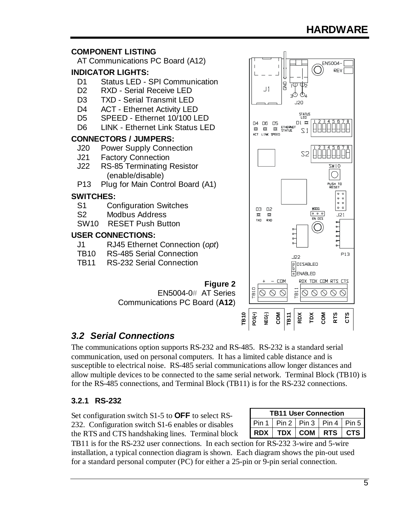

## <span id="page-6-0"></span>*3.2 Serial Connections*

The communications option supports RS-232 and RS-485. RS-232 is a standard serial communication, used on personal computers. It has a limited cable distance and is susceptible to electrical noise. RS-485 serial communications allow longer distances and allow multiple devices to be connected to the same serial network. Terminal Block (TB10) is for the RS-485 connections, and Terminal Block (TB11) is for the RS-232 connections.

#### <span id="page-6-1"></span>**3.2.1 RS-232**

Set configuration switch S1-5 to **OFF** to select RS-232. Configuration switch S1-6 enables or disables the RTS and CTS handshaking lines. Terminal block

<span id="page-6-2"></span>

| <b>TB11 User Connection</b> |  |                                       |  |  |  |
|-----------------------------|--|---------------------------------------|--|--|--|
|                             |  | Pin 1   Pin 2   Pin 3   Pin 4   Pin 5 |  |  |  |
|                             |  | RDX   TDX   COM   RTS   CTS           |  |  |  |

TB11 is for the RS-232 user connections. In each section for RS-232 3-wire and 5-wire installation, a typical connection diagram is shown. Each diagram shows the pin-out used for a standard personal computer (PC) for either a 25-pin or 9-pin serial connection.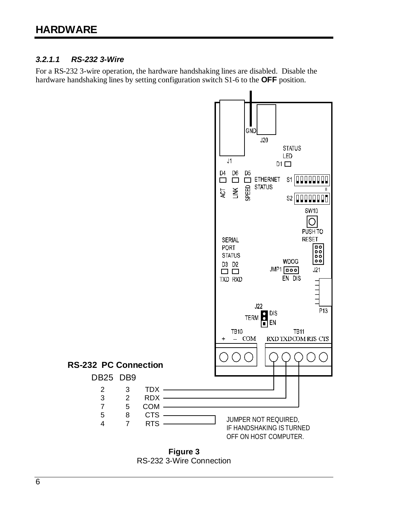## *3.2.1.1 RS-232 3-Wire*

For a RS-232 3-wire operation, the hardware handshaking lines are disabled. Disable the hardware handshaking lines by setting configuration switch S1-6 to the **OFF** position.



RS-232 3-Wire Connection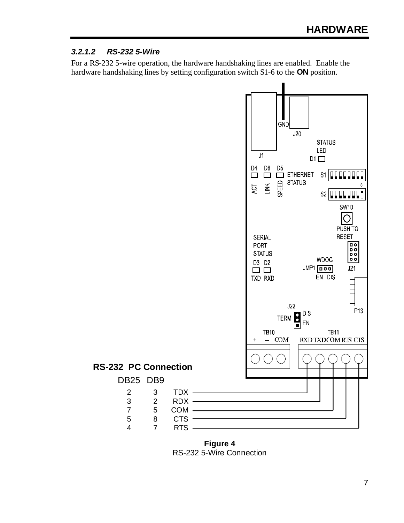## *3.2.1.2 RS-232 5-Wire*

For a RS-232 5-wire operation, the hardware handshaking lines are enabled. Enable the hardware handshaking lines by setting configuration switch S1-6 to the **ON** position.



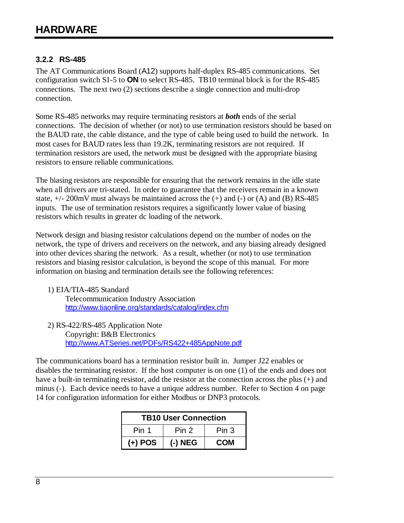## <span id="page-9-0"></span>**3.2.2 RS-485**

The AT Communications Board (A12) supports half-duplex RS-485 communications. Set configuration switch S1-5 to **ON** to select RS-485. TB10 terminal block is for the RS-485 connections. The next two (2) sections describe a single connection and multi-drop connection.

Some RS-485 networks may require terminating resistors at *both* ends of the serial connections. The decision of whether (or not) to use termination resistors should be based on the BAUD rate, the cable distance, and the type of cable being used to build the network. In most cases for BAUD rates less than 19.2K, terminating resistors are not required. If termination resistors are used, the network must be designed with the appropriate biasing resistors to ensure reliable communications.

The biasing resistors are responsible for ensuring that the network remains in the idle state when all drivers are tri-stated. In order to guarantee that the receivers remain in a known state,  $+/- 200$ mV must always be maintained across the  $(+)$  and  $(-)$  or  $(A)$  and  $(B)$  RS-485 inputs. The use of termination resistors requires a significantly lower value of biasing resistors which results in greater dc loading of the network.

Network design and biasing resistor calculations depend on the number of nodes on the network, the type of drivers and receivers on the network, and any biasing already designed into other devices sharing the network. As a result, whether (or not) to use termination resistors and biasing resistor calculation, is beyond the scope of this manual. For more information on biasing and termination details see the following references:

#### 1) EIA/TIA-485 Standard

 Telecommunication Industry Association <http://www.tiaonline.org/standards/catalog/index.cfm>

 2) RS-422/RS-485 Application Note Copyright: B&B Electronics [http://www.ATSeries.net/PDFs/RS422+485AppNote.pdf](http://www.atseries.net/PDFs/RS422+485AppNote.pdf)

The communications board has a termination resistor built in. Jumper J22 enables or disables the terminating resistor. If the host computer is on one (1) of the ends and does not have a built-in terminating resistor, add the resistor at the connection across the plus (+) and minus (-). Each device needs to have a unique address number. Refer to Section [4](#page-15-0) on page [14](#page-15-0) for configuration information for either Modbus or DNP3 protocols.

| <b>TB10 User Connection</b>        |           |            |  |  |
|------------------------------------|-----------|------------|--|--|
| Pin 1<br>Pin 2<br>Pin <sub>3</sub> |           |            |  |  |
| $(+)$ POS                          | $(-)$ NEG | <b>COM</b> |  |  |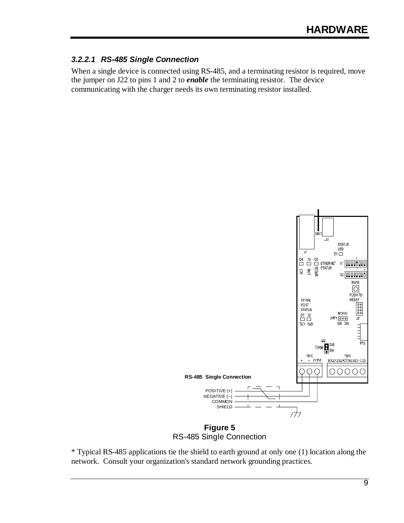#### *3.2.2.1 RS-485 Single Connection*

When a single device is connected using RS-485, and a terminating resistor is required, move the jumper on J22 to pins 1 and 2 to *enable* the terminating resistor. The device communicating with the charger needs its own terminating resistor installed.



RS-485 Single Connection

\* Typical RS-485 applications tie the shield to earth ground at only one (1) location along the network. Consult your organization's standard network grounding practices.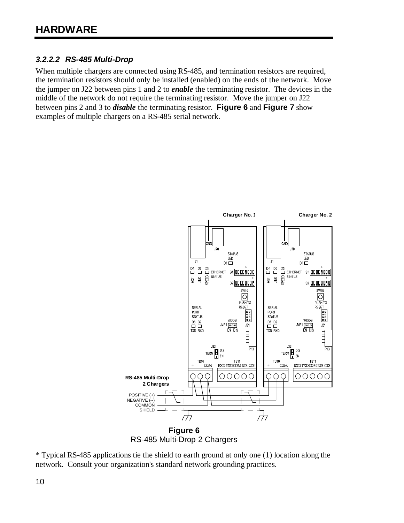## *3.2.2.2 RS-485 Multi-Drop*

When multiple chargers are connected using RS-485, and termination resistors are required, the termination resistors should only be installed (enabled) on the ends of the network. Move the jumper on J22 between pins 1 and 2 to *enable* the terminating resistor. The devices in the middle of the network do not require the terminating resistor. Move the jumper on J22 between pins 2 and 3 to *disable* the terminating resistor. **Figure 6** and **Figure 7** show examples of multiple chargers on a RS-485 serial network.



RS-485 Multi-Drop 2 Chargers

\* Typical RS-485 applications tie the shield to earth ground at only one (1) location along the network. Consult your organization's standard network grounding practices.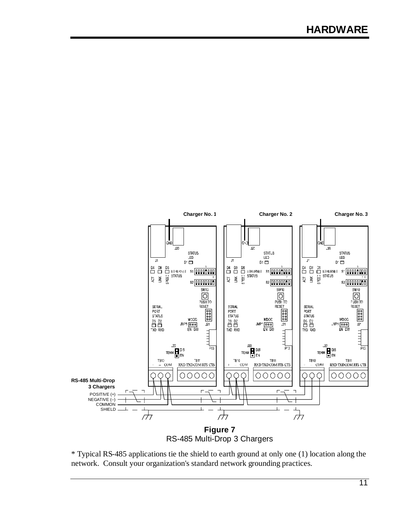

\* Typical RS-485 applications tie the shield to earth ground at only one (1) location along the network. Consult your organization's standard network grounding practices.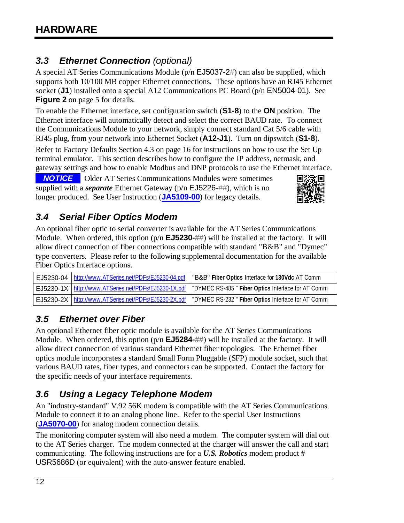## <span id="page-13-0"></span>*3.3 Ethernet Connection (optional)*

A special AT Series Communications Module (p/n EJ5037-2#) can also be supplied, which supports both 10/100 MB copper Ethernet connections. These options have an RJ45 Ethernet socket (**J1**) installed onto a special A12 Communications PC Board (p/n EN5004-01). See **Figure 2** on page [5](#page-6-2) for details.

To enable the Ethernet interface, set configuration switch (**S1-8**) to the **ON** position. The Ethernet interface will automatically detect and select the correct BAUD rate. To connect the Communications Module to your network, simply connect standard Cat 5/6 cable with RJ45 plug, from your network into Ethernet Socket (**A12-J1**). Turn on dipswitch (**S1-8**).

Refer to [Factory Defaults](#page-17-0) Section [4.3](#page-17-0) on page [16](#page-17-0) for instructions on how to use the Set Up terminal emulator. This section describes how to configure the IP address, netmask, and gateway settings and how to enable Modbus and DNP protocols to use the Ethernet interface.

**-NOTICE** - Older AT Series Communications Modules were sometimes supplied with a *separate* Ethernet Gateway (p/n EJ5226-##), which is no longer produced. See User Instruction (**[JA5109-00](http://www.atseries.net/PDFs/JA5109-00.pdf)**) for legacy details.



## <span id="page-13-1"></span>*3.4 Serial Fiber Optics Modem*

An optional fiber optic to serial converter is available for the AT Series Communications Module. When ordered, this option (p/n **EJ5230-##**) will be installed at the factory. It will allow direct connection of fiber connections compatible with standard "B&B" and "Dymec" type converters. Please refer to the following supplemental documentation for the available Fiber Optics Interface options.

| EJ5230-04   http://www.ATSeries.net/PDFs/EJ5230-04.pdf | "B&B" Fiber Optics Interface for 130Vdc AT Comm                                                             |
|--------------------------------------------------------|-------------------------------------------------------------------------------------------------------------|
|                                                        | EJ5230-1X   http://www.ATSeries.net/PDFs/EJ5230-1X.pdf   "DYMEC RS-485" Fiber Optics Interface for AT Comm  |
|                                                        | EJ5230-2X   http://www.ATSeries.net/PDFs/EJ5230-2X.pdf   "DYMEC RS-232 " Fiber Optics Interface for AT Comm |

## <span id="page-13-2"></span>*3.5 Ethernet over Fiber*

An optional Ethernet fiber optic module is available for the AT Series Communications Module. When ordered, this option (p/n **EJ5284-##**) will be installed at the factory. It will allow direct connection of various standard Ethernet fiber topologies. The Ethernet fiber optics module incorporates a standard Small Form Pluggable (SFP) module socket, such that various BAUD rates, fiber types, and connectors can be supported. Contact the factory for the specific needs of your interface requirements.

## <span id="page-13-3"></span>*3.6 Using a Legacy Telephone Modem*

An "industry-standard" V.92 56K modem is compatible with the AT Series Communications Module to connect it to an analog phone line. Refer to the special User Instructions (**[JA5070-00](http://www.atseries.net/PDFs/JA5070-00.pdf)**) for analog modem connection details.

The monitoring computer system will also need a modem. The computer system will dial out to the AT Series charger. The modem connected at the charger will answer the call and start communicating. The following instructions are for a *U.S. Robotics* modem product # USR5686D (or equivalent) with the auto-answer feature enabled.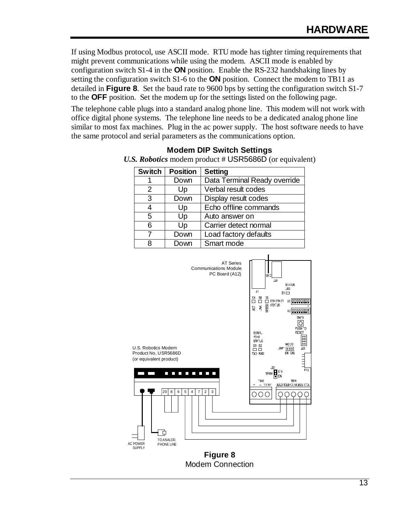If using Modbus protocol, use ASCII mode. RTU mode has tighter timing requirements that might prevent communications while using the modem. ASCII mode is enabled by configuration switch S1-4 in the **ON** position. Enable the RS-232 handshaking lines by setting the configuration switch S1-6 to the **ON** position. Connect the modem to TB11 as detailed in **[Figure 8](#page-14-0)**. Set the baud rate to 9600 bps by setting the configuration switch S1-7 to the **OFF** position. Set the modem up for the settings listed on the following page.

The telephone cable plugs into a standard analog phone line. This modem will not work with office digital phone systems. The telephone line needs to be a dedicated analog phone line similar to most fax machines. Plug in the ac power supply. The host software needs to have the same protocol and serial parameters as the communications option.

| <b>Switch</b> | <b>Position</b> | <b>Setting</b>               |
|---------------|-----------------|------------------------------|
|               | Down            | Data Terminal Ready override |
| 2             | Up              | Verbal result codes          |
| 3             | Down            | Display result codes         |
|               | Up              | Echo offline commands        |
| 5             | Up              | Auto answer on               |
| 6             | Up              | Carrier detect normal        |
| 7             | Down            | Load factory defaults        |
| 8             | Down            | Smart mode                   |

**Modem DIP Switch Settings**  *U.S. Robotics* modem product # USR5686D (or equivalent)

<span id="page-14-0"></span>

Modem Connection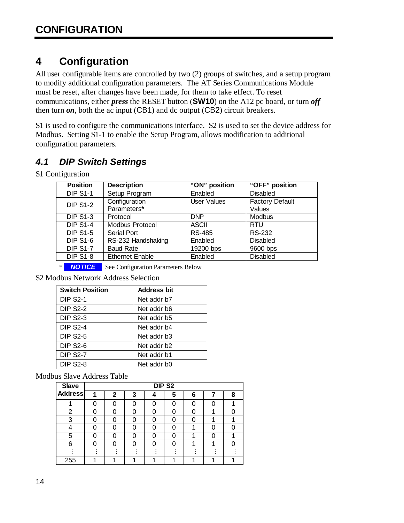# <span id="page-15-0"></span>**4 Configuration**

All user configurable items are controlled by two (2) groups of switches, and a setup program to modify additional configuration parameters. The AT Series Communications Module must be reset, after changes have been made, for them to take effect. To reset communications, either *press* the RESET button (**SW10**) on the A12 pc board, or turn *off* then turn  $\mathfrak{on}$ , both the ac input (CB1) and dc output (CB2) circuit breakers.

S1 is used to configure the communications interface. S2 is used to set the device address for Modbus. Setting S1-1 to enable the Setup Program, allows modification to additional configuration parameters.

## <span id="page-15-1"></span>*4.1 DIP Switch Settings*

S1 Configuration

| <b>Position</b> | <b>Description</b>     | "ON" position | "OFF" position         |
|-----------------|------------------------|---------------|------------------------|
| <b>DIP S1-1</b> | Setup Program          | Enabled       | <b>Disabled</b>        |
| <b>DIP S1-2</b> | Configuration          | User Values   | <b>Factory Default</b> |
|                 | Parameters*            |               | Values                 |
| <b>DIP S1-3</b> | Protocol               | <b>DNP</b>    | <b>Modbus</b>          |
| <b>DIP S1-4</b> | Modbus Protocol        | <b>ASCII</b>  | <b>RTU</b>             |
| <b>DIP S1-5</b> | <b>Serial Port</b>     | <b>RS-485</b> | RS-232                 |
| <b>DIP S1-6</b> | RS-232 Handshaking     | Enabled       | <b>Disabled</b>        |
| <b>DIP S1-7</b> | <b>Baud Rate</b>       | 19200 bps     | 9600 bps               |
| <b>DIP S1-8</b> | <b>Ethernet Enable</b> | Enabled       | <b>Disabled</b>        |
|                 |                        |               |                        |

**\*** *NOTICE* See Configuration Parameters Below

S2 Modbus Network Address Selection

| <b>Switch Position</b> | <b>Address bit</b>      |
|------------------------|-------------------------|
| <b>DIP S2-1</b>        | Net addr b7             |
| <b>DIP S2-2</b>        | Net addr b6             |
| <b>DIP S2-3</b>        | Net addr b5             |
| <b>DIP S2-4</b>        | Net addr b4             |
| <b>DIP S2-5</b>        | Net addr b3             |
| <b>DIP S2-6</b>        | Net addr b <sub>2</sub> |
| <b>DIP S2-7</b>        | Net addr b1             |
| <b>DIP S2-8</b>        | Net addr b0             |

Modbus Slave Address Table

| <b>Slave</b>   |  |   |   | DIP <sub>S2</sub> |   |   |  |   |
|----------------|--|---|---|-------------------|---|---|--|---|
| <b>Address</b> |  | 2 | 3 | Δ                 | 5 | 6 |  | 8 |
|                |  |   |   |                   |   |   |  |   |
| 2              |  |   |   |                   |   |   |  |   |
| 3              |  |   |   |                   |   |   |  |   |
|                |  |   |   |                   |   |   |  |   |
| 5              |  |   | O |                   |   |   |  |   |
| 6              |  |   |   |                   |   |   |  |   |
|                |  |   |   |                   |   |   |  |   |
| 255            |  |   |   |                   |   |   |  |   |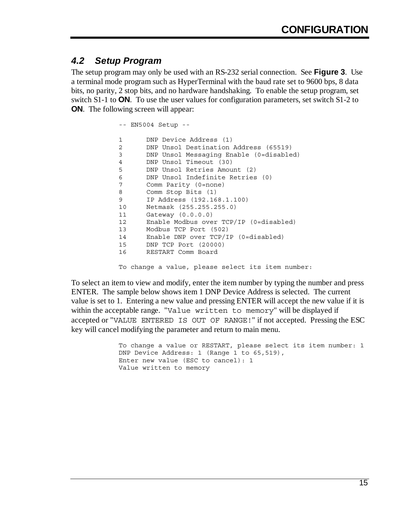## <span id="page-16-0"></span>*4.2 Setup Program*

The setup program may only be used with an RS-232 serial connection. See **Figure 3**. Use a terminal mode program such as HyperTerminal with the baud rate set to 9600 bps, 8 data bits, no parity, 2 stop bits, and no hardware handshaking. To enable the setup program, set switch S1-1 to **ON**. To use the user values for configuration parameters, set switch S1-2 to **ON**. The following screen will appear:

> -- EN5004 Setup -- 1 DNP Device Address (1) 2 DNP Unsol Destination Address (65519) 3 DNP Unsol Messaging Enable (0=disabled) 4 DNP Unsol Timeout (30) 5 DNP Unsol Retries Amount (2) 6 DNP Unsol Indefinite Retries (0) 7 Comm Parity (0=none) 8 Comm Stop Bits (1) 9 IP Address (192.168.1.100) 10 Netmask (255.255.255.0) 11 Gateway (0.0.0.0) 12 Enable Modbus over TCP/IP (0=disabled) 13 Modbus TCP Port (502) 14 Enable DNP over TCP/IP (0=disabled) 15 DNP TCP Port (20000) 16 RESTART Comm Board

To change a value, please select its item number:

To select an item to view and modify, enter the item number by typing the number and press ENTER. The sample below shows item 1 DNP Device Address is selected. The current value is set to 1. Entering a new value and pressing ENTER will accept the new value if it is within the acceptable range. "Value written to memory" will be displayed if accepted or "VALUE ENTERED IS OUT OF RANGE!" if not accepted. Pressing the ESC key will cancel modifying the parameter and return to main menu.

> To change a value or RESTART, please select its item number: 1 DNP Device Address: 1 (Range 1 to 65, 519), Enter new value (ESC to cancel): 1 Value written to memory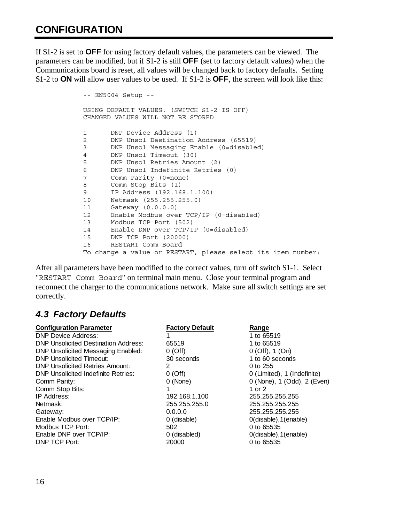## **CONFIGURATION**

If S1-2 is set to **OFF** for using factory default values, the parameters can be viewed. The parameters can be modified, but if S1-2 is still **OFF** (set to factory default values) when the Communications board is reset, all values will be changed back to factory defaults. Setting S1-2 to **ON** will allow user values to be used. If S1-2 is **OFF**, the screen will look like this:

```
-- EN5004 Setup -- 
USING DEFAULT VALUES. (SWITCH S1-2 IS OFF) 
CHANGED VALUES WILL NOT BE STORED 
1 DNP Device Address (1) 
2 DNP Unsol Destination Address (65519) 
3 DNP Unsol Messaging Enable (0=disabled) 
4 DNP Unsol Timeout (30) 
5 DNP Unsol Retries Amount (2) 
6 DNP Unsol Indefinite Retries (0) 
7 Comm Parity (0=none) 
8 Comm Stop Bits (1) 
9 IP Address (192.168.1.100) 
10 Netmask (255.255.255.0) 
11 Gateway (0.0.0.0) 
12 Enable Modbus over TCP/IP (0=disabled) 
13 Modbus TCP Port (502) 
14 Enable DNP over TCP/IP (0=disabled) 
15 DNP TCP Port (20000) 
16 RESTART Comm Board 
To change a value or RESTART, please select its item number:
```
After all parameters have been modified to the correct values, turn off switch S1-1. Select "RESTART Comm Board" on terminal main menu. Close your terminal program and reconnect the charger to the communications network. Make sure all switch settings are set correctly.

## <span id="page-17-0"></span>*4.3 Factory Defaults*

| <b>Configuration Parameter</b>              | <b>Factory Default</b> | Range                       |
|---------------------------------------------|------------------------|-----------------------------|
| <b>DNP Device Address:</b>                  |                        | 1 to 65519                  |
| <b>DNP Unsolicited Destination Address:</b> | 65519                  | 1 to 65519                  |
| <b>DNP Unsolicited Messaging Enabled:</b>   | $0$ (Off)              | $0$ (Off), 1 (On)           |
| <b>DNP Unsolicited Timeout:</b>             | 30 seconds             | 1 to 60 seconds             |
| <b>DNP Unsolicited Retries Amount:</b>      | 2                      | 0 to 255                    |
| <b>DNP Unsolicited Indefinite Retries:</b>  | 0(Off)                 | 0 (Limited), 1 (Indefinite) |
| Comm Parity:                                | 0 (None)               | 0 (None), 1 (Odd), 2 (Even) |
| Comm Stop Bits:                             |                        | 1 or 2                      |
| IP Address:                                 | 192.168.1.100          | 255.255.255.255             |
| Netmask:                                    | 255.255.255.0          | 255.255.255.255             |
| Gateway:                                    | 0.0.0.0                | 255.255.255.255             |
| Enable Modbus over TCP/IP:                  | 0 (disable)            | $O(disable)$ , $1(enable)$  |
| Modbus TCP Port:                            | 502                    | 0 to 65535                  |
| Enable DNP over TCP/IP:                     | 0 (disabled)           | $0$ (disable), $1$ (enable) |
| <b>DNP TCP Port:</b>                        | 20000                  | 0 to 65535                  |
|                                             |                        |                             |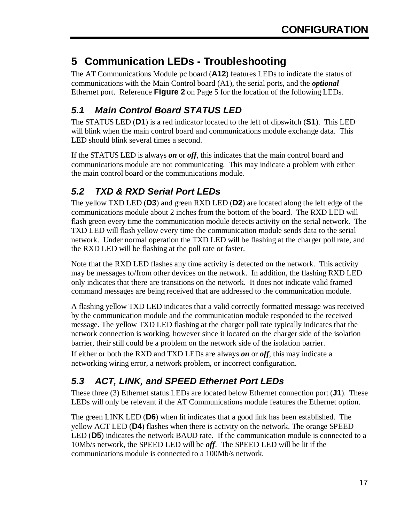# <span id="page-18-0"></span>**5 Communication LEDs - Troubleshooting**

The AT Communications Module pc board (**A12**) features LEDs to indicate the status of communications with the Main Control board (A1), the serial ports, and the *optional* Ethernet port. Reference **Figure 2** on Page [5](#page-6-2) for the location of the following LEDs.

# <span id="page-18-1"></span>*5.1 Main Control Board STATUS LED*

The STATUS LED (**D1**) is a red indicator located to the left of dipswitch (**S1**). This LED will blink when the main control board and communications module exchange data. This LED should blink several times a second.

If the STATUS LED is always *on* or *off*, this indicates that the main control board and communications module are not communicating. This may indicate a problem with either the main control board or the communications module.

# <span id="page-18-2"></span>*5.2 TXD & RXD Serial Port LEDs*

The yellow TXD LED (**D3**) and green RXD LED (**D2**) are located along the left edge of the communications module about 2 inches from the bottom of the board. The RXD LED will flash green every time the communication module detects activity on the serial network. The TXD LED will flash yellow every time the communication module sends data to the serial network. Under normal operation the TXD LED will be flashing at the charger poll rate, and the RXD LED will be flashing at the poll rate or faster.

Note that the RXD LED flashes any time activity is detected on the network. This activity may be messages to/from other devices on the network. In addition, the flashing RXD LED only indicates that there are transitions on the network. It does not indicate valid framed command messages are being received that are addressed to the communication module.

A flashing yellow TXD LED indicates that a valid correctly formatted message was received by the communication module and the communication module responded to the received message. The yellow TXD LED flashing at the charger poll rate typically indicates that the network connection is working, however since it located on the charger side of the isolation barrier, their still could be a problem on the network side of the isolation barrier.

If either or both the RXD and TXD LEDs are always *on* or *off*, this may indicate a networking wiring error, a network problem, or incorrect configuration.

# <span id="page-18-3"></span>*5.3 ACT, LINK, and SPEED Ethernet Port LEDs*

These three (3) Ethernet status LEDs are located below Ethernet connection port (**J1**). These LEDs will only be relevant if the AT Communications module features the Ethernet option.

The green LINK LED (**D6**) when lit indicates that a good link has been established. The yellow ACT LED (**D4**) flashes when there is activity on the network. The orange SPEED LED (**D5**) indicates the network BAUD rate. If the communication module is connected to a 10Mb/s network, the SPEED LED will be *off*. The SPEED LED will be lit if the communications module is connected to a 100Mb/s network.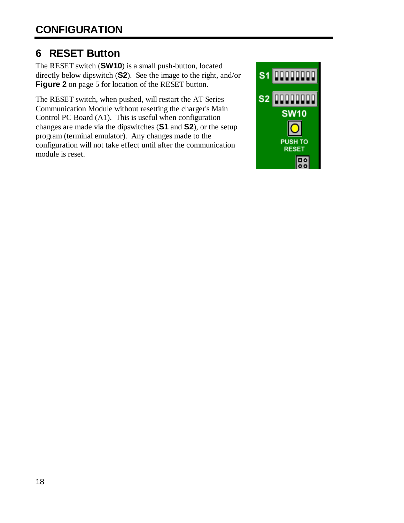# <span id="page-19-0"></span>**6 RESET Button**

The RESET switch (**SW10**) is a small push-button, located directly below dipswitch (**S2**). See the image to the right, and/or **Figure 2** on page [5](#page-6-2) for location of the RESET button.

The RESET switch, when pushed, will restart the AT Series Communication Module without resetting the charger's Main Control PC Board (A1). This is useful when configuration changes are made via the dipswitches (**S1** and **S2**), or the setup program (terminal emulator). Any changes made to the configuration will not take effect until after the communication module is reset.

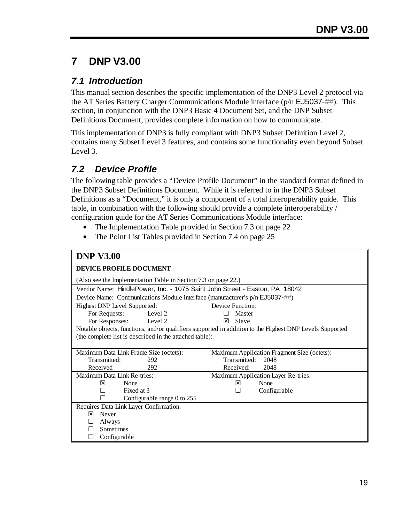## <span id="page-20-0"></span>**7 DNP V3.00**

## <span id="page-20-1"></span>*7.1 Introduction*

This manual section describes the specific implementation of the DNP3 Level 2 protocol via the AT Series Battery Charger Communications Module interface (p/n EJ5037-##). This section, in conjunction with the DNP3 Basic 4 Document Set, and the DNP Subset Definitions Document, provides complete information on how to communicate.

This implementation of DNP3 is fully compliant with DNP3 Subset Definition Level 2, contains many Subset Level 3 features, and contains some functionality even beyond Subset Level 3.

## <span id="page-20-2"></span>*7.2 Device Profile*

The following table provides a "Device Profile Document" in the standard format defined in the DNP3 Subset Definitions Document. While it is referred to in the DNP3 Subset Definitions as a "Document," it is only a component of a total interoperability guide. This table, in combination with the following should provide a complete interoperability / configuration guide for the AT Series Communications Module interface:

- The Implementation Table provided in Section [7.3](#page-23-0) on page 22
- The Point List Tables provided in Section [7.4 o](#page-26-0)n page 25

| <b>DNP V3.00</b>                                                              |                                                                                                         |  |  |  |  |
|-------------------------------------------------------------------------------|---------------------------------------------------------------------------------------------------------|--|--|--|--|
| <b>DEVICE PROFILE DOCUMENT</b>                                                |                                                                                                         |  |  |  |  |
| (Also see the Implementation Table in Section 7.3 on page 22.)                |                                                                                                         |  |  |  |  |
| Vendor Name: HindlePower, Inc. - 1075 Saint John Street - Easton, PA 18042    |                                                                                                         |  |  |  |  |
| Device Name: Communications Module interface (manufacturer's $p/n$ EJ5037-##) |                                                                                                         |  |  |  |  |
| Highest DNP Level Supported:                                                  | Device Function:                                                                                        |  |  |  |  |
| For Requests:<br>Level 2                                                      | Master                                                                                                  |  |  |  |  |
| For Responses:<br>Level 2                                                     | Slave<br>⊠                                                                                              |  |  |  |  |
|                                                                               | Notable objects, functions, and/or qualifiers supported in addition to the Highest DNP Levels Supported |  |  |  |  |
| (the complete list is described in the attached table):                       |                                                                                                         |  |  |  |  |
|                                                                               |                                                                                                         |  |  |  |  |
| Maximum Data Link Frame Size (octets):                                        | Maximum Application Fragment Size (octets):                                                             |  |  |  |  |
| Transmitted:<br>292                                                           | Transmitted:<br>2048                                                                                    |  |  |  |  |
| Received<br>292                                                               | Received:<br>2048                                                                                       |  |  |  |  |
| Maximum Data Link Re-tries:                                                   | Maximum Application Layer Re-tries:                                                                     |  |  |  |  |
| 冈<br>None                                                                     | 冈<br>None                                                                                               |  |  |  |  |
| Fixed at 3                                                                    | Configurable                                                                                            |  |  |  |  |
| Configurable range 0 to 255                                                   |                                                                                                         |  |  |  |  |
| Requires Data Link Layer Confirmation:                                        |                                                                                                         |  |  |  |  |
| Never<br>⊠                                                                    |                                                                                                         |  |  |  |  |
| Always                                                                        |                                                                                                         |  |  |  |  |
| Sometimes                                                                     |                                                                                                         |  |  |  |  |
| Configurable                                                                  |                                                                                                         |  |  |  |  |
|                                                                               |                                                                                                         |  |  |  |  |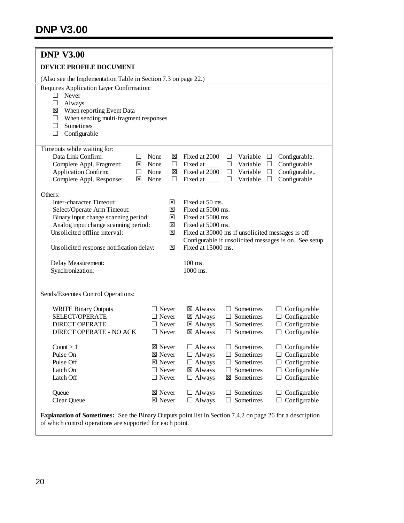| <b>DNP V3.00</b>                                                                                                                                                                                                                                              |                            |                                                                                                                                                                                                                                                                                |  |  |
|---------------------------------------------------------------------------------------------------------------------------------------------------------------------------------------------------------------------------------------------------------------|----------------------------|--------------------------------------------------------------------------------------------------------------------------------------------------------------------------------------------------------------------------------------------------------------------------------|--|--|
| DEVICE PROFILE DOCUMENT                                                                                                                                                                                                                                       |                            |                                                                                                                                                                                                                                                                                |  |  |
| (Also see the Implementation Table in Section 7.3 on page 22.)                                                                                                                                                                                                |                            |                                                                                                                                                                                                                                                                                |  |  |
| Requires Application Layer Confirmation:<br>Never<br>$\Box$<br>Always<br>⊔<br>When reporting Event Data<br>⊠<br>When sending multi-fragment responses<br>ப<br>Sometimes<br>Ш<br>Configurable<br>□                                                             |                            |                                                                                                                                                                                                                                                                                |  |  |
| Timeouts while waiting for:<br>Data Link Confirm:<br>None<br>$\Box$<br>Complete Appl. Fragment:<br>区<br>None<br><b>Application Confirm:</b><br>None<br>$\Box$<br>Complete Appl. Response:<br>None<br>⊠                                                        | ⊠<br>$\Box$<br>⊠<br>$\Box$ | Fixed at 2000<br>Variable<br>Configurable.<br>$\Box$<br>⊔<br>Configurable<br>$\Box$<br>Fixed at ______<br>Variable<br>$\Box$<br>Configurable,.<br>Fixed at 2000<br>Variable<br>$\Box$<br>$\Box$<br>Configurable<br>Fixed at ______<br>Variable<br>$\Box$<br>$\Box$             |  |  |
| Others:<br>Inter-character Timeout:<br>⊠<br>Select/Operate Arm Timeout:<br>図<br>Binary input change scanning period:<br>⊠<br>Analog input change scanning period:<br>図<br>Unsolicited offline interval:<br>図<br>図<br>Unsolicited response notification delay: |                            | Fixed at 50 ms.<br>Fixed at 5000 ms.<br>Fixed at 5000 ms.<br>Fixed at 5000 ms.<br>Fixed at 30000 ms if unsolicited messages is off<br>Configurable if unsolicited messages is on. See setup.<br>Fixed at 15000 ms.                                                             |  |  |
| Delay Measurement:<br>Synchronization:                                                                                                                                                                                                                        |                            | 100 ms.<br>1000 ms.                                                                                                                                                                                                                                                            |  |  |
| Sends/Executes Control Operations:                                                                                                                                                                                                                            |                            |                                                                                                                                                                                                                                                                                |  |  |
| <b>WRITE Binary Outputs</b><br>$\Box$ Never<br>SELECT/OPERATE<br>$\Box$ Never<br><b>DIRECT OPERATE</b><br>$\Box$ Never<br><b>DIRECT OPERATE - NO ACK</b><br>$\Box$ Never                                                                                      |                            | ⊠ Always<br>Sometimes<br>$\Box$ Configurable<br>$\Box$<br>Configurable<br>⊠ Always<br>Sometimes<br>ш<br>Configurable<br>⊠ Always<br>Sometimes<br>$\perp$<br>Configurable<br>⊠ Always<br>Sometimes<br>$\Box$                                                                    |  |  |
| ⊠ Never<br>Count $> 1$<br>⊠ Never<br>Pulse On<br>Pulse Off<br>⊠ Never<br>$\Box$ Never<br>Latch On<br>Latch Off<br>$\Box$ Never                                                                                                                                |                            | Sometimes<br>$\Box$ Configurable<br>$\Box$ Always<br>Configurable<br>$\Box$ Always<br>Sometimes<br>$\Box$<br>$\Box$ Always<br>Sometimes<br>Configurable<br>$\Box$<br>$\Box$<br>Configurable<br>⊠ Always<br>Sometimes<br>Ш<br>Configurable<br>$\Box$ Always<br>⊠ Sometimes<br>⊔ |  |  |
| ⊠ Never<br>Queue<br>Clear Queue<br><b>⊠</b> Never                                                                                                                                                                                                             |                            | $\Box$ Always<br>Sometimes<br>Configurable<br>Configurable<br>$\Box$ Always<br>Sometimes<br>$\Box$                                                                                                                                                                             |  |  |
| Explanation of Sometimes: See the Binary Outputs point list in Section 7.4.2 on page 26 for a description<br>of which control operations are supported for each point.                                                                                        |                            |                                                                                                                                                                                                                                                                                |  |  |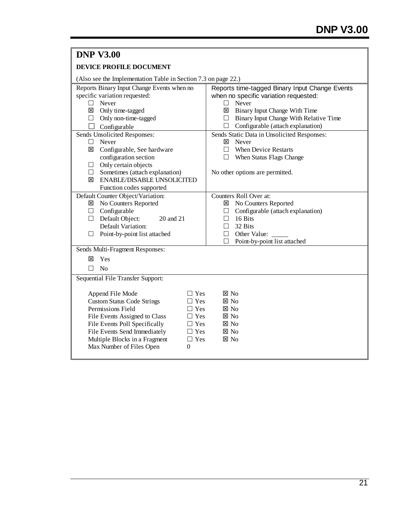| <b>DNP V3.00</b>                                                                                                                                                                                                                                                                                                                                 |                                                                                                                                                                                                                                               |
|--------------------------------------------------------------------------------------------------------------------------------------------------------------------------------------------------------------------------------------------------------------------------------------------------------------------------------------------------|-----------------------------------------------------------------------------------------------------------------------------------------------------------------------------------------------------------------------------------------------|
| DEVICE PROFILE DOCUMENT                                                                                                                                                                                                                                                                                                                          |                                                                                                                                                                                                                                               |
| (Also see the Implementation Table in Section 7.3 on page 22.)                                                                                                                                                                                                                                                                                   |                                                                                                                                                                                                                                               |
| Reports Binary Input Change Events when no<br>specific variation requested:<br>$\Box$ Never<br>⊠ Only time-tagged<br>$\Box$ Only non-time-tagged<br>Configurable                                                                                                                                                                                 | Reports time-tagged Binary Input Change Events<br>when no specific variation requested:<br>Never<br>$\Box$<br>Binary Input Change With Time<br>⊠<br>$\Box$ Binary Input Change With Relative Time<br>$\Box$ Configurable (attach explanation) |
| Sends Unsolicited Responses:<br>$\Box$ Never<br>⊠ Configurable, See hardware<br>configuration section<br>$\Box$ Only certain objects<br>$\Box$ Sometimes (attach explanation)                                                                                                                                                                    | Sends Static Data in Unsolicited Responses:<br>Never<br>⊠<br><b>When Device Restarts</b><br>П<br>$\Box$ When Status Flags Change<br>No other options are permitted.                                                                           |
| <b>ENABLE/DISABLE UNSOLICITED</b><br>Function codes supported                                                                                                                                                                                                                                                                                    |                                                                                                                                                                                                                                               |
| Default Counter Object/Variation:<br>No Counters Reported<br>$\Box$ Configurable<br>$\Box$ Default Object:<br>20 and 21<br>Default Variation:<br>$\Box$ Point-by-point list attached                                                                                                                                                             | Counters Roll Over at:<br>No Counters Reported<br>図<br>Configurable (attach explanation)<br>⊔<br>$\Box$ 16 Bits<br>32 Bits<br><b>College</b><br>Other Value:<br>□<br>Point-by-point list attached<br>П                                        |
| Sends Multi-Fragment Responses:<br>Yes<br>冈<br>$\Box$ No                                                                                                                                                                                                                                                                                         |                                                                                                                                                                                                                                               |
| Sequential File Transfer Support:                                                                                                                                                                                                                                                                                                                |                                                                                                                                                                                                                                               |
| Append File Mode<br>$\Box$ Yes<br><b>Custom Status Code Strings</b><br>$\Box$ Yes<br>Permissions Field<br>$\Box$ Yes<br>File Events Assigned to Class<br>$\Box$ Yes<br>File Events Poll Specifically<br>$\Box$ Yes<br>File Events Send Immediately<br>$\Box$ Yes<br>Multiple Blocks in a Fragment<br>$\Box$ Yes<br>Max Number of Files Open<br>0 | $\boxtimes$ No<br>$\boxtimes$ No<br>$\boxtimes$ No<br>$\boxtimes$ No<br>$\boxtimes$ No<br>$\boxtimes$ No<br>$\boxtimes$ No                                                                                                                    |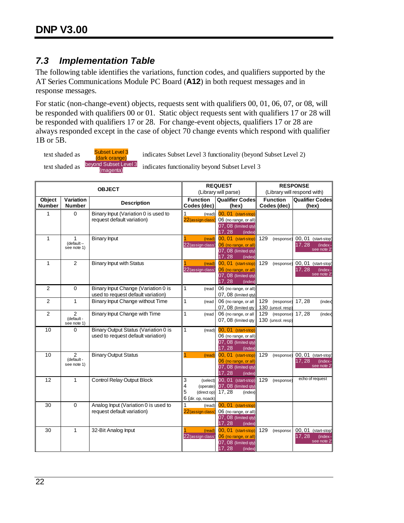## <span id="page-23-0"></span>*7.3 Implementation Table*

The following table identifies the variations, function codes, and qualifiers supported by the AT Series Communications Module PC Board (**A12**) in both request messages and in response messages.

For static (non-change-event) objects, requests sent with qualifiers 00, 01, 06, 07, or 08, will be responded with qualifiers 00 or 01. Static object requests sent with qualifiers 17 or 28 will be responded with qualifiers 17 or 28. For change-event objects, qualifiers 17 or 28 are always responded except in the case of object 70 change events which respond with qualifier 1B or 5B.

text shaded as **Subset Level 3**<br>(dark orange) text shaded as beyond Subset Level 3

indicates functionality beyond Subset Level 3

indicates Subset Level 3 functionality (beyond Subset Level 2)

| <b>OBJECT</b>           |                                            | <b>REQUEST</b><br>(Library will parse)                                     |                                                                           | <b>RESPONSE</b><br>(Library will respond with)                                                  |                                        |                                                         |
|-------------------------|--------------------------------------------|----------------------------------------------------------------------------|---------------------------------------------------------------------------|-------------------------------------------------------------------------------------------------|----------------------------------------|---------------------------------------------------------|
|                         |                                            |                                                                            |                                                                           |                                                                                                 |                                        |                                                         |
| Object<br><b>Number</b> | Variation<br><b>Number</b>                 | <b>Description</b>                                                         | <b>Function</b><br>Codes (dec)                                            | <b>Qualifier Codes</b><br>(hex)                                                                 | <b>Function</b><br>Codes (dec)         | <b>Qualifier Codes</b><br>(hex)                         |
| 1                       | $\Omega$                                   | Binary Input (Variation 0 is used to<br>request default variation)         | 1<br>(read)<br>22 (assign class)                                          | 00, 01 (start-stop)<br>06 (no range, or all)<br>07, 08 (limited qty)<br>17, 28<br>(index)       |                                        |                                                         |
| $\mathbf{1}$            | 1<br>$default -$<br>see note 1)            | <b>Binary Input</b>                                                        | (read)<br>22 (assign class)                                               | 00, 01 (start-stop)<br>06 (no range, or all<br>07, 08 (limited qty)<br>17, 28<br>(index)        | 129<br>(response)                      | 00, 01 (start-stop<br>17.28<br>(index<br>see note 2     |
| 1                       | $\overline{2}$                             | <b>Binary Input with Status</b>                                            | (read)<br>22 (assign class)                                               | 00, 01 (start-stop)<br>06 (no range, or all)<br>07, 08 (limited qty)<br>17, 28<br>(index)       | 129<br>(response)                      | 00, 01 (start-stop<br>17.28<br>$(index -$<br>see note 2 |
| $\overline{2}$          | $\Omega$                                   | Binary Input Change (Variation 0 is<br>used to request default variation)  | 1<br>(read                                                                | 06 (no range, or all)<br>07, 08 (limited qty)                                                   |                                        |                                                         |
| $\overline{2}$          | $\mathbf{1}$                               | Binary Input Change without Time                                           | 1<br>(read                                                                | 06 (no range, or all)<br>07, 08 (limited qty)                                                   | 129<br>(response)<br>130 (unsol. resp) | 17, 28<br>(index)                                       |
| $\overline{2}$          | $\overline{2}$<br>(default-<br>see note 1) | Binary Input Change with Time                                              | 1<br>(read                                                                | 06 (no range, or all)<br>07, 08 (limited gty)                                                   | 129<br>(response)<br>130 (unsol. resp) | 17, 28<br>(index                                        |
| 10                      | 0                                          | Binary Output Status (Variation 0 is<br>used to request default variation) | 1<br>(read)                                                               | 00, 01 (start-stop)<br>06 (no range, or all)<br>07, 08 (limited qty)<br>17, 28<br>(index)       |                                        |                                                         |
| 10                      | $\overline{2}$<br>(default-<br>see note 1) | <b>Binary Output Status</b>                                                | (read)                                                                    | 00, 01 (start-stop)<br>06 (no range, or all)<br>07, 08 (limited qty)<br>17.28<br><i>(index)</i> | 129<br>(response)                      | 00, 01 (start-stop<br>17, 28<br>(index<br>see note 2    |
| 12                      | $\mathbf{1}$                               | <b>Control Relay Output Block</b>                                          | 3<br>(select)<br>4<br>(operate)<br>5<br>(direct op)<br>6 (dir. op, noack) | 00, 01 (start-stop)<br>07, 08 (limited qty)<br>17, 28<br>(index)                                | 129<br>(response)                      | echo of request                                         |
| 30                      | 0                                          | Analog Input (Variation 0 is used to<br>request default variation)         | 1<br>(read)<br>22 (assign class                                           | 00, 01 (start-stop)<br>06 (no range, or all)<br>07, 08 (limited qty)<br>17,28<br>(index)        |                                        |                                                         |
| 30                      | 1                                          | 32-Bit Analog Input                                                        | (read)<br>22 (assign class)                                               | 00, 01 (start-stop)<br>06 (no range, or all<br>07, 08 (limited gty)<br>17,28<br>(index)         | 129<br>(response                       | 00, 01 (start-stop)<br>17, 28<br>(index)<br>see note 2  |

22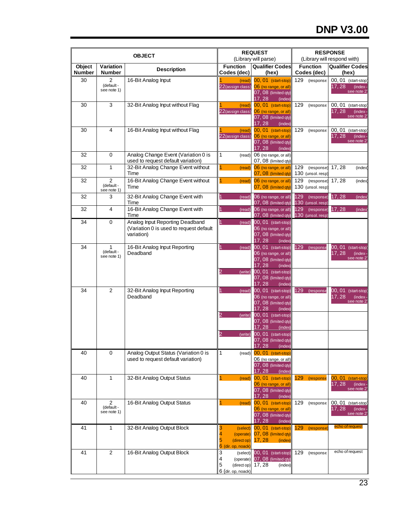# **DNP V3.00**

| <b>OBJECT</b>    |                                            | <b>REQUEST</b><br><b>RESPONSE</b><br>(Library will parse)<br>(Library will respond with) |                                                                           |                                                                                                                  |                                        |                                                           |
|------------------|--------------------------------------------|------------------------------------------------------------------------------------------|---------------------------------------------------------------------------|------------------------------------------------------------------------------------------------------------------|----------------------------------------|-----------------------------------------------------------|
| Object<br>Number | Variation<br><b>Number</b>                 | <b>Description</b>                                                                       | <b>Function</b><br>Codes (dec)                                            | <b>Qualifier Codes</b><br>(hex)                                                                                  | <b>Function</b><br>Codes (dec)         | <b>Qualifier Codes</b><br>(hex)                           |
| 30               | 2<br>(default-<br>see note 1)              | 16-Bit Analog Input                                                                      | (read)<br>22 (assign class                                                | 00, 01 (start-stop)<br>06 (no range, or all)<br>07, 08 (limited qty)<br>17, 28<br>(index)                        | 129<br>(response                       | 00, 01 (start-stop)<br>17, 28<br>(index)<br>see note 2    |
| 30               | 3                                          | 32-Bit Analog Input without Flag                                                         | (read)<br>22 (assign class)                                               | 00, 01 (start-stop)<br>06 (no range, or all)<br>07, 08 (limited qty)<br>17, 28<br>(index)                        | 129<br>(response                       | 00, 01<br>(start-stop)<br>17, 28<br>(index)<br>see note 2 |
| 30               | $\overline{4}$                             | 16-Bit Analog Input without Flag                                                         | (read)<br>22 (assign class)                                               | 00, 01 (start-stop)<br>06 (no range, or all)<br>07, 08 (limited qty)<br>17, 28<br>(index)                        | 129<br>(response                       | 00, 01 (start-stop)<br>17, 28<br>$(index -$<br>see note 2 |
| 32               | 0                                          | Analog Change Event (Variation 0 is<br>used to request default variation)                | 1<br>(read)                                                               | 06 (no range, or all)<br>07, 08 (limited qty)                                                                    |                                        |                                                           |
| 32               | $\mathbf{1}$                               | 32-Bit Analog Change Event without<br>Time                                               | $\overline{1}$<br>(read)                                                  | 06 (no range, or all)<br>07, 08 (limited qty)                                                                    | 129<br>(response)<br>130 (unsol. resp) | 17, 28<br>(index)                                         |
| 32               | 2<br>(default-<br>see note 1)              | 16-Bit Analog Change Event without<br>Time                                               | 1<br>(read                                                                | 06 (no range, or all)<br>07, 08 (limited qty)                                                                    | 129<br>(response)<br>130 (unsol. resp) | 17, 28<br>(index)                                         |
| 32               | 3                                          | 32-Bit Analog Change Event with<br>Time                                                  | 1<br>(read)                                                               | 06 (no range, or all)<br>07, 08 (limited qty)                                                                    | 129<br>(response)<br>130 (unsol. resp) | 17, 28<br>(index                                          |
| 32               | $\overline{4}$                             | 16-Bit Analog Change Event with<br>Time                                                  | 1<br>(read)                                                               | 06 (no range, or all)<br>07, 08 (limited qty)                                                                    | 129<br>(response)<br>130 (unsol. resp) | 17,28<br>(index                                           |
| 34               | 0                                          | Analog Input Reporting Deadband<br>(Variation 0 is used to request default<br>variation) | $\mathbf{1}$<br>(read)                                                    | 00, 01 (start-stop)<br>06 (no range, or all)<br>07, 08 (limited qty)<br>17, 28<br>(index)                        |                                        |                                                           |
| 34               | 1<br>(default-<br>see note 1)              | 16-Bit Analog Input Reporting<br>Deadband                                                | $\mathbf{1}$<br>(read)<br>$\overline{2}$<br>(write)                       | 00, 01 (start-stop)<br>06 (no range, or all)<br>07, 08 (limited qty)<br>17, 28<br>(index)<br>00, 01 (start-stop) | 129<br>(response                       | 00, 01 (start-stop<br>17, 28<br>(index)<br>see note 2     |
| 34               | $\overline{2}$                             | 32-Bit Analog Input Reporting<br>Deadband                                                | $\mathbf{1}$<br>(read)                                                    | 07, 08 (limited qty)<br>17, 28<br>(index)<br>00, 01 (start-stop)<br>06 (no range, or all)                        | 129<br>(response                       | 00, 01 (start-stop)<br>17, 28<br>(index)                  |
|                  |                                            |                                                                                          | $\overline{2}$<br>(write)                                                 | 07, 08 (limited qty)<br>17, 28<br>(index)<br>00, 01 (start-stop)                                                 |                                        | see note 2                                                |
|                  |                                            |                                                                                          | 2<br>(write)                                                              | 07, 08 (limited qty)<br>17, 28<br>(index)<br>00, 01 (start-stop)                                                 |                                        |                                                           |
|                  |                                            |                                                                                          |                                                                           | 07, 08 (limited qty)<br>17, 28<br>(index)                                                                        |                                        |                                                           |
| 40               | $\mathbf 0$                                | Analog Output Status (Variation 0 is<br>used to request default variation)               | 1<br>(read)                                                               | 00, 01 (start-stop)<br>06 (no range, or all)<br>07, 08 (limited gty)<br>17, 28<br>(index)                        |                                        |                                                           |
| 40               | 1                                          | 32-Bit Analog Output Status                                                              | 1<br>(read)                                                               | 00, 01 (start-stop)<br>06 (no range, or all)<br>07, 08 (limited qty)<br>17, 28<br>(index)                        | 129<br>(response                       | 00, 01 (start-stop<br>17, 28<br>(index)<br>see note 2     |
| 40               | $\overline{2}$<br>(default-<br>see note 1) | 16-Bit Analog Output Status                                                              | 1<br>(read)                                                               | 00, 01 (start-stop)<br>06 (no range, or all)<br>07, 08 (limited qty)<br>17, 28<br>(index)                        | 129<br>(response                       | 00, 01 (start-stop<br>17, 28<br>(index<br>see note 2      |
| 41               | 1                                          | 32-Bit Analog Output Block                                                               | 3<br>(select)<br>4<br>(operate)<br>5<br>(direct op)<br>6 (dir. op, noack  | 00, 01 (start-stop)<br>07, 08 (limited qty)<br>17, 28<br>(index)                                                 | 129<br>(response                       | echo of request                                           |
| 41               | $\overline{2}$                             | 16-Bit Analog Output Block                                                               | 3<br>(select)<br>4<br>(operate)<br>5<br>(direct op)<br>6 (dir. op, noack) | 00, 01 (start-stop)<br>07, 08 (limited qty)<br>17, 28<br>(index)                                                 | 129<br>(response                       | echo of request                                           |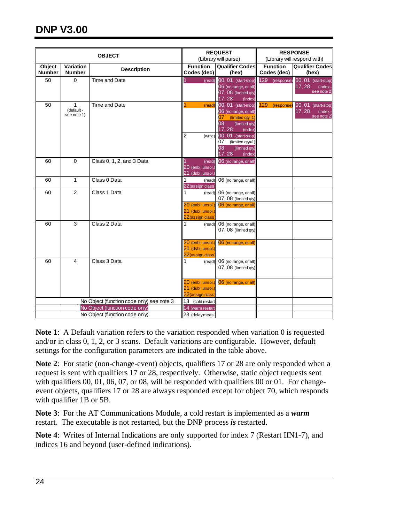| <b>OBJECT</b>           |                               | <b>REQUEST</b><br>(Library will parse)                           |                                                                                      | <b>RESPONSE</b><br>(Library will respond with)                                                                                                                                          |                                |                                                        |
|-------------------------|-------------------------------|------------------------------------------------------------------|--------------------------------------------------------------------------------------|-----------------------------------------------------------------------------------------------------------------------------------------------------------------------------------------|--------------------------------|--------------------------------------------------------|
| Object<br><b>Number</b> | Variation<br><b>Number</b>    | <b>Description</b>                                               | <b>Function</b><br>Codes (dec)                                                       | <b>Qualifier Codes</b><br>(hex)                                                                                                                                                         | <b>Function</b><br>Codes (dec) | <b>Qualifier Codes</b><br>(hex)                        |
| 50                      | 0                             | <b>Time and Date</b>                                             | (read)                                                                               | 00, 01 (start-stop)<br>06 (no range, or all)<br>07, 08 (limited qty)<br>17, 28<br>(index)                                                                                               | 129 (response)                 | 00, 01 (start-stop)<br>17, 28<br>(index)<br>see note 2 |
| 50                      | 1<br>(default-<br>see note 1) | Time and Date                                                    | (read)<br>$\overline{2}$<br>(write)                                                  | 00, 01 (start-stop)<br>06 (no range, or all)<br>07<br>(limited qty=1)<br>08<br>(limited qty)<br>17, 28<br>(index)<br>00, 01 (start-stop)<br>$07$ (limited qty=1)<br>08<br>(limited qty) | 129<br>(response               | 00, 01 (start-stop<br>17, 28<br>(index<br>see note 2   |
| 60                      | 0                             | Class 0, 1, 2, and 3 Data                                        | (read)<br>20 (enbl. unsol.)<br>21 (dsbl. unsol.)                                     | 17,28<br>(index<br>06 (no range, or all)                                                                                                                                                |                                |                                                        |
| 60                      | 1                             | Class 0 Data                                                     | 1<br>(read)<br>22 (assign class                                                      | 06 (no range, or all)                                                                                                                                                                   |                                |                                                        |
| 60                      | $\overline{2}$                | Class 1 Data                                                     | 1<br>(read)<br>20 (enbl. unsol.)<br>21 (dsbl. unsol.)<br>22 (assign class            | 06 (no range, or all)<br>07, 08 (limited qty)<br>06 (no range, or all)                                                                                                                  |                                |                                                        |
| 60                      | 3                             | Class 2 Data                                                     | $\mathbf{1}$<br>(read)<br>20 (enbl. unsol.)<br>21 (dsbl. unsol.)<br>22 (assign class | 06 (no range, or all)<br>07, 08 (limited qty)<br>06 (no range, or all)                                                                                                                  |                                |                                                        |
| 60                      | 4                             | Class 3 Data                                                     | 1<br>(read)                                                                          | 06 (no range, or all)<br>07, 08 (limited qty)                                                                                                                                           |                                |                                                        |
|                         |                               |                                                                  | 20 (enbl. unsol.)<br>21 (dsbl. unsol.)<br>22 (assign class                           | 06 (no range, or all)                                                                                                                                                                   |                                |                                                        |
|                         |                               | No Object (function code only) see note 3                        | 13 (cold restart)                                                                    |                                                                                                                                                                                         |                                |                                                        |
|                         |                               | No Object (function code only)<br>No Object (function code only) | 14 (warm restart<br>23 (delay meas.                                                  |                                                                                                                                                                                         |                                |                                                        |

**Note 1**: A Default variation refers to the variation responded when variation 0 is requested and/or in class 0, 1, 2, or 3 scans. Default variations are configurable. However, default settings for the configuration parameters are indicated in the table above.

**Note 2**: For static (non-change-event) objects, qualifiers 17 or 28 are only responded when a request is sent with qualifiers 17 or 28, respectively. Otherwise, static object requests sent with qualifiers 00, 01, 06, 07, or 08, will be responded with qualifiers 00 or 01. For changeevent objects, qualifiers 17 or 28 are always responded except for object 70, which responds with qualifier 1B or 5B.

**Note 3**: For the AT Communications Module, a cold restart is implemented as a *warm* restart. The executable is not restarted, but the DNP process *is* restarted.

**Note 4**: Writes of Internal Indications are only supported for index 7 (Restart IIN1-7), and indices 16 and beyond (user-defined indications).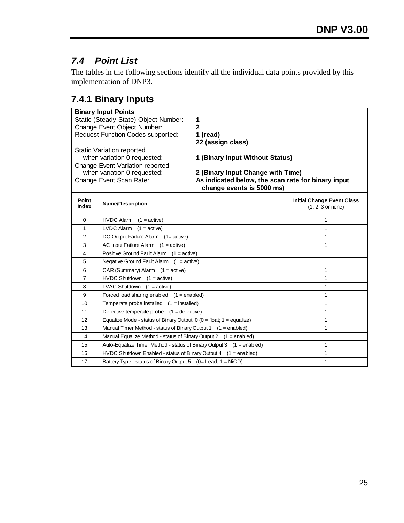# <span id="page-26-0"></span>*7.4 Point List*

The tables in the following sections identify all the individual data points provided by this implementation of DNP3.

## <span id="page-26-1"></span>**7.4.1 Binary Inputs**

|                | <b>Binary Input Points</b>                                                                                         |                                                          |
|----------------|--------------------------------------------------------------------------------------------------------------------|----------------------------------------------------------|
|                | Static (Steady-State) Object Number:<br>1                                                                          |                                                          |
|                | Change Event Object Number:<br>$\overline{2}$                                                                      |                                                          |
|                | <b>Request Function Codes supported:</b><br>1 (read)                                                               |                                                          |
|                | 22 (assign class)                                                                                                  |                                                          |
|                | <b>Static Variation reported</b>                                                                                   |                                                          |
|                | when variation 0 requested:<br>1 (Binary Input Without Status)                                                     |                                                          |
|                | Change Event Variation reported<br>when variation 0 requested:                                                     |                                                          |
|                | 2 (Binary Input Change with Time)<br>As indicated below, the scan rate for binary input<br>Change Event Scan Rate: |                                                          |
|                | change events is 5000 ms)                                                                                          |                                                          |
| Point<br>Index | <b>Name/Description</b>                                                                                            | <b>Initial Change Event Class</b><br>$(1, 2, 3$ or none) |
|                |                                                                                                                    |                                                          |
| $\mathbf 0$    | <b>HVDC Alarm</b><br>$(1 = active)$                                                                                | 1                                                        |
| 1              | LVDC Alarm<br>$(1 = active)$                                                                                       | 1                                                        |
| $\overline{2}$ | DC Output Failure Alarm (1= active)                                                                                | 1                                                        |
| 3              | AC input Failure Alarm<br>$(1 = active)$                                                                           | 1                                                        |
| 4              | Positive Ground Fault Alarm (1 = active)                                                                           | 1                                                        |
| 5              | Negative Ground Fault Alarm $(1 = active)$                                                                         | 1                                                        |
| 6              | CAR (Summary) Alarm $(1 = active)$                                                                                 | 1                                                        |
| $\overline{7}$ | $HVDC$ Shutdown $(1 = active)$                                                                                     | 1                                                        |
| 8              | <b>LVAC Shutdown</b><br>$(1 = active)$                                                                             | 1                                                        |
| 9              | Forced load sharing enabled<br>$(1 =$ enabled)                                                                     | 1                                                        |
| 10             | Temperate probe installed $(1 = \text{installed})$                                                                 | 1                                                        |
| 11             | Defective temperate probe $(1 = \text{defective})$                                                                 | 1                                                        |
| 12             | Equalize Mode - status of Binary Output: $0$ (0 = float; 1 = equalize)                                             | 1                                                        |
| 13             | Manual Timer Method - status of Binary Output 1 (1 = enabled)                                                      | 1                                                        |
| 14             | Manual Equalize Method - status of Binary Output 2<br>$(1 =$ enabled)                                              | 1                                                        |
| 15             | Auto-Equalize Timer Method - status of Binary Output 3 (1 = enabled)                                               | 1                                                        |
| 16             | HVDC Shutdown Enabled - status of Binary Output 4 (1 = enabled)                                                    | 1                                                        |
| 17             | Battery Type - status of Binary Output 5 (0= Lead; 1 = NiCD)                                                       | 1                                                        |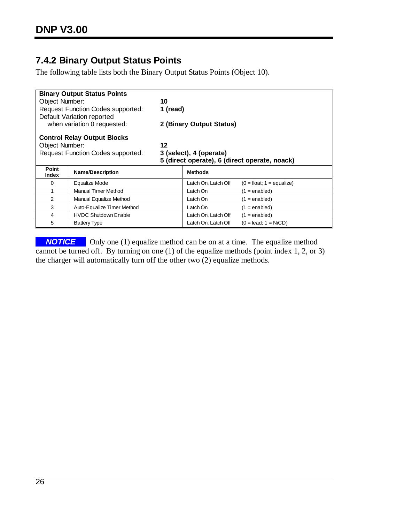## <span id="page-27-0"></span>**7.4.2 Binary Output Status Points**

The following table lists both the Binary Output Status Points (Object 10).

|                                          | <b>Binary Output Status Points</b>       |                         |                          |                                               |  |
|------------------------------------------|------------------------------------------|-------------------------|--------------------------|-----------------------------------------------|--|
| Object Number:                           |                                          | 10                      |                          |                                               |  |
|                                          | <b>Request Function Codes supported:</b> | 1 (read)                |                          |                                               |  |
|                                          | Default Variation reported               |                         |                          |                                               |  |
|                                          | when variation 0 requested:              |                         | 2 (Binary Output Status) |                                               |  |
| <b>Control Relay Output Blocks</b>       |                                          |                         |                          |                                               |  |
|                                          | Object Number:<br>12                     |                         |                          |                                               |  |
| <b>Request Function Codes supported:</b> |                                          | 3 (select), 4 (operate) |                          |                                               |  |
|                                          |                                          |                         |                          |                                               |  |
|                                          |                                          |                         |                          | 5 (direct operate), 6 (direct operate, noack) |  |
| Point<br><b>Index</b>                    | <b>Name/Description</b>                  |                         | <b>Methods</b>           |                                               |  |
| $\Omega$                                 | Equalize Mode                            |                         | Latch On, Latch Off      | $(0 = float; 1 = equalize)$                   |  |
| 1                                        | Manual Timer Method                      |                         | Latch On                 | $(1 =$ enabled)                               |  |
| 2                                        | Manual Equalize Method                   |                         | Latch On                 | $(1 =$ enabled)                               |  |
| 3                                        | Auto-Equalize Timer Method               |                         | Latch On                 | $(1 =$ enabled)                               |  |
| 4                                        | <b>HVDC Shutdown Enable</b>              |                         | Latch On, Latch Off      | $(1 =$ enabled)                               |  |
| 5                                        | <b>Battery Type</b>                      |                         | Latch On, Latch Off      | $(0 = lead; 1 = NiCD)$                        |  |

**NOTICE** Only one (1) equalize method can be on at a time. The equalize method cannot be turned off. By turning on one (1) of the equalize methods (point index 1, 2, or 3) the charger will automatically turn off the other two (2) equalize methods.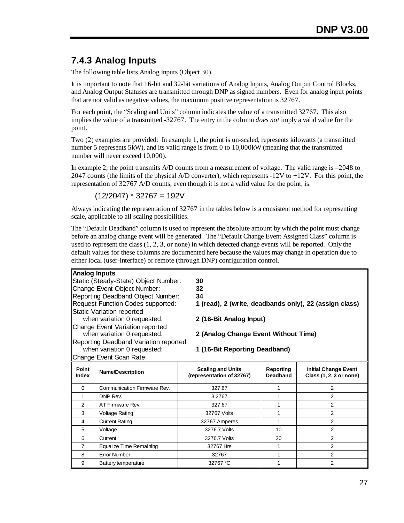## <span id="page-28-0"></span>**7.4.3 Analog Inputs**

The following table lists Analog Inputs (Object 30).

It is important to note that 16-bit and 32-bit variations of Analog Inputs, Analog Output Control Blocks, and Analog Output Statuses are transmitted through DNP as signed numbers. Even for analog input points that are not valid as negative values, the maximum positive representation is 32767.

For each point, the "Scaling and Units" column indicates the value of a transmitted 32767. This also implies the value of a transmitted -32767. The entry in the column *does not* imply a valid value for the point.

Two (2) examples are provided: In example 1, the point is un-scaled, represents kilowatts (a transmitted number 5 represents 5kW), and its valid range is from 0 to 10,000kW (meaning that the transmitted number will never exceed 10,000).

In example 2, the point transmits  $A/D$  counts from a measurement of voltage. The valid range is  $-2048$  to 2047 counts (the limits of the physical A/D converter), which represents  $-12V$  to  $+12V$ . For this point, the representation of 32767 A/D counts, even though it is not a valid value for the point, is:

 $(12/2047)$  \* 32767 = 192V

Always indicating the representation of 32767 in the tables below is a consistent method for representing scale, applicable to all scaling possibilities.

The "Default Deadband" column is used to represent the absolute amount by which the point must change before an analog change event will be generated. The "Default Change Event Assigned Class" column is used to represent the class (1, 2, 3, or none) in which detected change events will be reported. Only the default values for these columns are documented here because the values may change in operation due to either local (user-interface) or remote (through DNP) configuration control.

| <b>Analog Inputs</b> |  |
|----------------------|--|
|----------------------|--|

| Static (Steady-State) Object Number:     | 30   |
|------------------------------------------|------|
| Change Event Object Number:              | 32   |
| Reporting Deadband Object Number:        | 34   |
| <b>Request Function Codes supported:</b> | 1(   |
| <b>Static Variation reported</b>         |      |
| when variation 0 requested:              | 2 (' |
| Change Event Variation reported          |      |
| when variation 0 requested:              | 2(   |
| Reporting Deadband Variation reported    |      |
| when variation 0 requested:              | ŀ    |

| Static (Steady-State) Object Number: | 30                                                     |
|--------------------------------------|--------------------------------------------------------|
| Change Event Object Number:          | 32                                                     |
| Reporting Deadband Object Number:    | 34                                                     |
| Request Function Codes supported:    | 1 (read), 2 (write, deadbands only), 22 (assign class) |
| Static Variation reported            |                                                        |
| when variation 0 requested:          | 2 (16-Bit Analog Input)                                |

2 (Analog Change Event Without Time)

1 (16-Bit Reporting Deadband)

| Change Event Scan Rate: |                             |                                                       |                              |                                                        |  |
|-------------------------|-----------------------------|-------------------------------------------------------|------------------------------|--------------------------------------------------------|--|
| Point<br>Index          | <b>Name/Description</b>     | <b>Scaling and Units</b><br>(representation of 32767) | Reporting<br><b>Deadband</b> | <b>Initial Change Event</b><br>Class (1, 2, 3 or none) |  |
| $\Omega$                | Communication Firmware Rev. | 327.67                                                |                              | 2                                                      |  |
|                         | DNP Rev.                    | 3.2767                                                |                              | 2                                                      |  |
| 2                       | AT Firmware Rev.            | 327.67                                                |                              | 2                                                      |  |
| 3                       | Voltage Rating              | 32767 Volts                                           |                              | 2                                                      |  |
| 4                       | <b>Current Rating</b>       | 32767 Amperes                                         |                              | 2                                                      |  |
| 5                       | Voltage                     | 3276.7 Volts                                          | 10                           | $\overline{2}$                                         |  |
| 6                       | Current                     | 3276.7 Volts                                          | 20                           | 2                                                      |  |
| 7                       | Equalize Time Remaining     | 32767 Hrs                                             |                              | 2                                                      |  |
| 8                       | <b>Error Number</b>         | 32767                                                 |                              | 2                                                      |  |
| 9                       | Battery temperature         | 32767 °C                                              |                              | 2                                                      |  |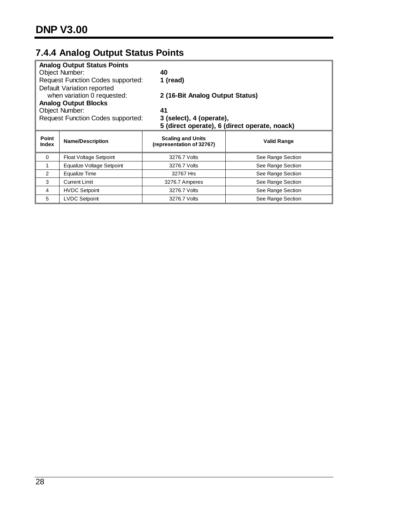# <span id="page-29-0"></span>**7.4.4 Analog Output Status Points**

|                                                                      | <b>Analog Output Status Points</b>       |                                                       |                                               |  |  |
|----------------------------------------------------------------------|------------------------------------------|-------------------------------------------------------|-----------------------------------------------|--|--|
|                                                                      | <b>Object Number:</b><br>40              |                                                       |                                               |  |  |
|                                                                      | <b>Request Function Codes supported:</b> | 1 (read)                                              |                                               |  |  |
|                                                                      | Default Variation reported               |                                                       |                                               |  |  |
|                                                                      | when variation 0 requested:              | 2 (16-Bit Analog Output Status)                       |                                               |  |  |
|                                                                      | <b>Analog Output Blocks</b>              |                                                       |                                               |  |  |
|                                                                      | <b>Object Number:</b>                    | 41                                                    |                                               |  |  |
| <b>Request Function Codes supported:</b><br>3 (select), 4 (operate), |                                          |                                                       |                                               |  |  |
|                                                                      |                                          |                                                       | 5 (direct operate), 6 (direct operate, noack) |  |  |
| Point<br>Index                                                       | <b>Name/Description</b>                  | <b>Scaling and Units</b><br>(representation of 32767) | <b>Valid Range</b>                            |  |  |
| $\Omega$                                                             | Float Voltage Setpoint                   | 3276.7 Volts                                          | See Range Section                             |  |  |
| 1                                                                    | Equalize Voltage Setpoint                | 3276.7 Volts                                          | See Range Section                             |  |  |
| 2                                                                    | Equalize Time                            | 32767 Hrs                                             | See Range Section                             |  |  |
| 3                                                                    | <b>Current Limit</b>                     | 3276.7 Amperes                                        | See Range Section                             |  |  |
| 4                                                                    | <b>HVDC Setpoint</b>                     | 3276.7 Volts                                          | See Range Section                             |  |  |
| 5                                                                    | <b>LVDC Setpoint</b>                     | 3276.7 Volts                                          | See Range Section                             |  |  |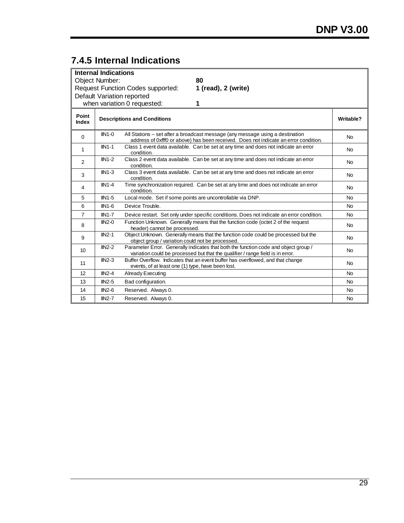# <span id="page-30-0"></span>**7.4.5 Internal Indications**

|                                                                 | <b>Internal Indications</b> |                                                            |                                                                                                                                                                       |           |  |
|-----------------------------------------------------------------|-----------------------------|------------------------------------------------------------|-----------------------------------------------------------------------------------------------------------------------------------------------------------------------|-----------|--|
|                                                                 | Object Number:              |                                                            | 80                                                                                                                                                                    |           |  |
| <b>Request Function Codes supported:</b><br>1 (read), 2 (write) |                             |                                                            |                                                                                                                                                                       |           |  |
|                                                                 |                             | Default Variation reported                                 |                                                                                                                                                                       |           |  |
|                                                                 |                             | when variation 0 requested:                                | 1                                                                                                                                                                     |           |  |
| Point<br><b>Index</b>                                           |                             | <b>Descriptions and Conditions</b>                         |                                                                                                                                                                       | Writable? |  |
| $\Omega$                                                        | $IIN1-0$                    |                                                            | All Stations - set after a broadcast message (any message using a destination<br>address of 0xfff0 or above) has been received. Does not indicate an error condition. | <b>No</b> |  |
| 1                                                               | $IIN1-1$                    | condition.                                                 | Class 1 event data available. Can be set at any time and does not indicate an error                                                                                   | <b>No</b> |  |
| $\overline{2}$                                                  | $IN1-2$                     | condition.                                                 | Class 2 event data available. Can be set at any time and does not indicate an error                                                                                   | <b>No</b> |  |
| 3                                                               | $IIN1-3$                    | condition.                                                 | Class 3 event data available. Can be set at any time and does not indicate an error                                                                                   | <b>No</b> |  |
| 4                                                               | $IIN1-4$                    | condition.                                                 | Time synchronization required. Can be set at any time and does not indicate an error                                                                                  | <b>No</b> |  |
| 5                                                               | $IN1-5$                     | Local mode. Set if some points are uncontrollable via DNP. |                                                                                                                                                                       | <b>No</b> |  |
| 6                                                               | $IIN1-6$                    | Device Trouble.                                            |                                                                                                                                                                       | <b>No</b> |  |
| $\overline{7}$                                                  | $IIN1-7$                    |                                                            | Device restart. Set only under specific conditions. Does not indicate an error condition.                                                                             | <b>No</b> |  |
| 8                                                               | $IIN2-0$                    | header) cannot be processed.                               | Function Unknown. Generally means that the function code (octet 2 of the request                                                                                      | <b>No</b> |  |
| 9                                                               | $IIN2-1$                    | object group / variation could not be processed.           | Object Unknown. Generally means that the function code could be processed but the                                                                                     | <b>No</b> |  |
| 10                                                              | $IN2-2$                     |                                                            | Parameter Error. Generally indicates that both the function code and object group /<br>variation could be processed but that the qualifier / range field is in error. | <b>No</b> |  |
| 11                                                              | $IIN2-3$                    | events, of at least one (1) type, have been lost.          | Buffer Overflow. Indicates that an event buffer has overflowed, and that change                                                                                       | <b>No</b> |  |
| 12                                                              | $IIN2-4$                    | <b>Already Executing</b>                                   |                                                                                                                                                                       | <b>No</b> |  |
| 13                                                              | $IIN2-5$                    | Bad configuration.                                         |                                                                                                                                                                       | <b>No</b> |  |
| 14                                                              | $IIN2-6$                    | Reserved. Always 0.                                        |                                                                                                                                                                       | <b>No</b> |  |
| 15                                                              | $IN2-7$                     | Reserved. Always 0.                                        |                                                                                                                                                                       | <b>No</b> |  |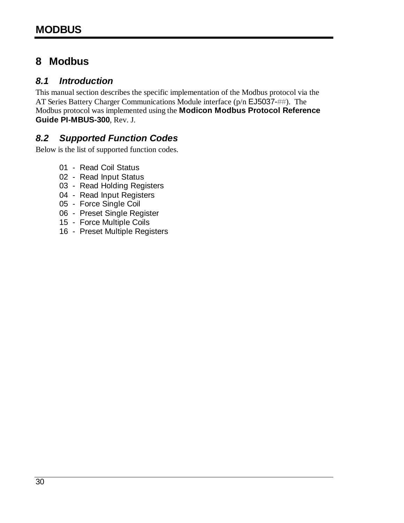## <span id="page-31-0"></span>**8 Modbus**

## <span id="page-31-1"></span>*8.1 Introduction*

This manual section describes the specific implementation of the Modbus protocol via the AT Series Battery Charger Communications Module interface (p/n EJ5037-##). The Modbus protocol was implemented using the **Modicon Modbus Protocol Reference Guide PI-MBUS-300**, Rev. J.

## <span id="page-31-2"></span>*8.2 Supported Function Codes*

Below is the list of supported function codes.

- 01 Read Coil Status
- 02 Read Input Status
- 03 Read Holding Registers
- 04 Read Input Registers
- 05 Force Single Coil
- 06 Preset Single Register
- 15 Force Multiple Coils
- 16 Preset Multiple Registers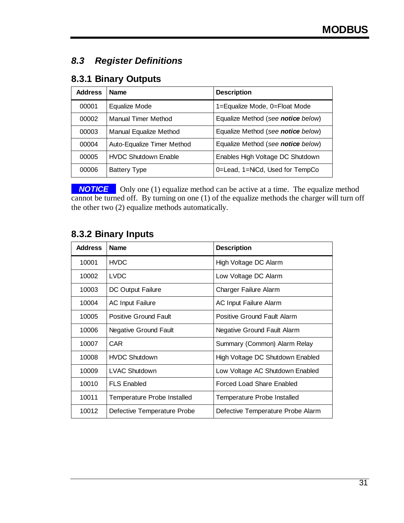## <span id="page-32-0"></span>*8.3 Register Definitions*

## <span id="page-32-1"></span>**8.3.1 Binary Outputs**

| <b>Address</b> | <b>Name</b>                 | <b>Description</b>                 |
|----------------|-----------------------------|------------------------------------|
| 00001          | Equalize Mode               | 1=Equalize Mode, 0=Float Mode      |
| 00002          | Manual Timer Method         | Equalize Method (see notice below) |
| 00003          | Manual Equalize Method      | Equalize Method (see notice below) |
| 00004          | Auto-Equalize Timer Method  | Equalize Method (see notice below) |
| 00005          | <b>HVDC Shutdown Enable</b> | Enables High Voltage DC Shutdown   |
| 00006          | <b>Battery Type</b>         | 0=Lead, 1=NiCd, Used for TempCo    |

**-NOTICE** • Only one (1) equalize method can be active at a time. The equalize method cannot be turned off. By turning on one (1) of the equalize methods the charger will turn off the other two (2) equalize methods automatically.

## <span id="page-32-2"></span>**8.3.2 Binary Inputs**

| <b>Address</b> | <b>Name</b>                  | <b>Description</b>                 |
|----------------|------------------------------|------------------------------------|
| 10001          | <b>HVDC</b>                  | High Voltage DC Alarm              |
| 10002          | <b>LVDC</b>                  | Low Voltage DC Alarm               |
| 10003          | DC Output Failure            | Charger Failure Alarm              |
| 10004          | <b>AC Input Failure</b>      | <b>AC Input Failure Alarm</b>      |
| 10005          | <b>Positive Ground Fault</b> | Positive Ground Fault Alarm        |
| 10006          | <b>Negative Ground Fault</b> | <b>Negative Ground Fault Alarm</b> |
| 10007          | CAR <sup>.</sup>             | Summary (Common) Alarm Relay       |
| 10008          | <b>HVDC Shutdown</b>         | High Voltage DC Shutdown Enabled   |
| 10009          | <b>LVAC Shutdown</b>         | Low Voltage AC Shutdown Enabled    |
| 10010          | <b>FLS Enabled</b>           | <b>Forced Load Share Enabled</b>   |
| 10011          | Temperature Probe Installed  | Temperature Probe Installed        |
| 10012          | Defective Temperature Probe  | Defective Temperature Probe Alarm  |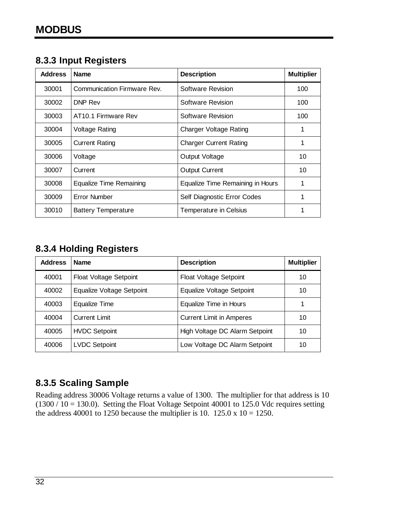## <span id="page-33-0"></span>**8.3.3 Input Registers**

| <b>Address</b> | <b>Name</b>                     | <b>Description</b>               | <b>Multiplier</b> |
|----------------|---------------------------------|----------------------------------|-------------------|
| 30001          | Communication Firmware Rev.     | Software Revision                | 100               |
| 30002          | DNP Rev                         | Software Revision                | 100               |
| 30003          | AT <sub>10.1</sub> Firmware Rev | Software Revision                | 100               |
| 30004          | <b>Voltage Rating</b>           | <b>Charger Voltage Rating</b>    |                   |
| 30005          | <b>Current Rating</b>           | <b>Charger Current Rating</b>    | 1                 |
| 30006          | Voltage                         | Output Voltage                   | 10                |
| 30007          | Current                         | <b>Output Current</b>            | 10                |
| 30008          | <b>Equalize Time Remaining</b>  | Equalize Time Remaining in Hours |                   |
| 30009          | <b>Error Number</b>             | Self Diagnostic Error Codes      |                   |
| 30010          | <b>Battery Temperature</b>      | Temperature in Celsius           |                   |

## <span id="page-33-1"></span>**8.3.4 Holding Registers**

| <b>Address</b> | <b>Name</b>                   | <b>Description</b>              | <b>Multiplier</b> |
|----------------|-------------------------------|---------------------------------|-------------------|
| 40001          | <b>Float Voltage Setpoint</b> | <b>Float Voltage Setpoint</b>   | 10                |
| 40002          | Equalize Voltage Setpoint     | Equalize Voltage Setpoint       | 10                |
| 40003          | Equalize Time                 | Equalize Time in Hours          |                   |
| 40004          | <b>Current Limit</b>          | <b>Current Limit in Amperes</b> | 10                |
| 40005          | <b>HVDC Setpoint</b>          | High Voltage DC Alarm Setpoint  | 10                |
| 40006          | <b>LVDC Setpoint</b>          | Low Voltage DC Alarm Setpoint   | 10                |

## <span id="page-33-2"></span>**8.3.5 Scaling Sample**

Reading address 30006 Voltage returns a value of 1300. The multiplier for that address is 10  $(1300 / 10 = 130.0)$ . Setting the Float Voltage Setpoint 40001 to 125.0 Vdc requires setting the address 40001 to 1250 because the multiplier is 10. 125.0 x 10 = 1250.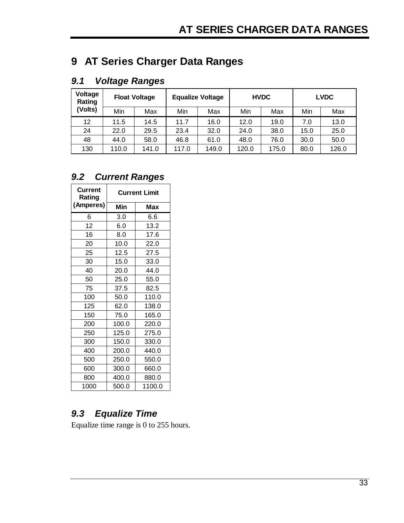# <span id="page-34-0"></span>**9 AT Series Charger Data Ranges**

## <span id="page-34-1"></span>*9.1 Voltage Ranges*

| Voltage<br>Rating |       | <b>Float Voltage</b> |       | <b>Equalize Voltage</b> |       | <b>HVDC</b> |      | <b>LVDC</b> |
|-------------------|-------|----------------------|-------|-------------------------|-------|-------------|------|-------------|
| (Volts)           | Min   | Max                  | Min   | Max                     | Min   | Max         | Min  | Max         |
| 12                | 11.5  | 14.5                 | 11.7  | 16.0                    | 12.0  | 19.0        | 7.0  | 13.0        |
| 24                | 22.0  | 29.5                 | 23.4  | 32.0                    | 24.0  | 38.0        | 15.0 | 25.0        |
| 48                | 44.0  | 58.0                 | 46.8  | 61.0                    | 48.0  | 76.0        | 30.0 | 50.0        |
| 130               | 110.0 | 141.0                | 117.0 | 149.0                   | 120.0 | 175.0       | 80.0 | 126.0       |

## <span id="page-34-2"></span>*9.2 Current Ranges*

| <b>Current</b><br>Rating | <b>Current Limit</b> |        |  |
|--------------------------|----------------------|--------|--|
| (Amperes)                | Min                  | Max    |  |
| 6                        | 3.0                  | 6.6    |  |
| 12                       | 6.0                  | 13.2   |  |
| 16                       | 8.0                  | 17.6   |  |
| 20                       | 10.0                 | 22.0   |  |
| 25                       | 12.5                 | 27.5   |  |
| 30                       | 15.0                 | 33.0   |  |
| 40                       | 20.0                 | 44.0   |  |
| 50                       | 25.0                 | 55.0   |  |
| 75                       | 37.5                 | 82.5   |  |
| 100                      | 50.0                 | 110.0  |  |
| 125                      | 62.0                 | 138.0  |  |
| 150                      | 75.0                 | 165.0  |  |
| 200                      | 100.0                | 220.0  |  |
| 250                      | 125.0                | 275.0  |  |
| 300                      | 150.0                | 330.0  |  |
| 400                      | 200.0                | 440.0  |  |
| 500                      | 250.0                | 550.0  |  |
| 600                      | 300.0                | 660.0  |  |
| 800                      | 400.0                | 880.0  |  |
| 1000                     | 500.0                | 1100.0 |  |

## <span id="page-34-3"></span>*9.3 Equalize Time*

Equalize time range is 0 to 255 hours.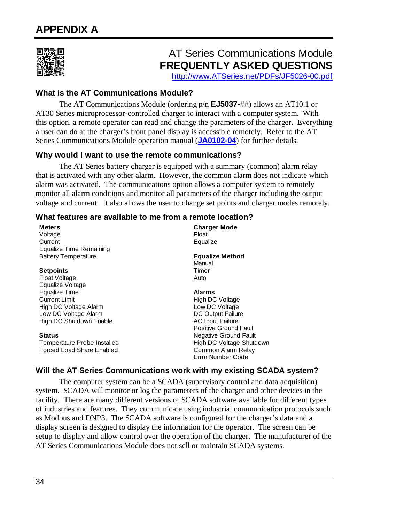<span id="page-35-0"></span>

# AT Series Communications Module **FREQUENTLY ASKED QUESTIONS**

[http://www.ATSeries.net/PDFs/JF5026-00.pdf](http://www.atseries.net/PDFs/JF5026-00.pdf)

#### **What is the AT Communications Module?**

 The AT Communications Module (ordering p/n **EJ5037-##**) allows an AT10.1 or AT30 Series microprocessor-controlled charger to interact with a computer system. With this option, a remote operator can read and change the parameters of the charger. Everything a user can do at the charger's front panel display is accessible remotely. Refer to the AT Series Communications Module operation manual (**[JA0102-04](http://www.atseries.net/PDFs/JA0102-04.pdf)**) for further details.

## **Why would I want to use the remote communications?**

 The AT Series battery charger is equipped with a summary (common) alarm relay that is activated with any other alarm. However, the common alarm does not indicate which alarm was activated. The communications option allows a computer system to remotely monitor all alarm conditions and monitor all parameters of the charger including the output voltage and current. It also allows the user to change set points and charger modes remotely.

#### **What features are available to me from a remote location?**

| <b>Meters</b><br>Voltage<br>Current | <b>Charger Mode</b><br>Float<br>Equalize |
|-------------------------------------|------------------------------------------|
| Equalize Time Remaining             |                                          |
| <b>Battery Temperature</b>          | <b>Equalize Method</b><br>Manual         |
| <b>Setpoints</b>                    | Timer                                    |
| Float Voltage                       | Auto                                     |
| Equalize Voltage                    |                                          |
| Equalize Time                       | <b>Alarms</b>                            |
| <b>Current Limit</b>                | High DC Voltage                          |
| High DC Voltage Alarm               | Low DC Voltage                           |
| Low DC Voltage Alarm                | <b>DC Output Failure</b>                 |
| High DC Shutdown Enable             | <b>AC Input Failure</b>                  |
|                                     | <b>Positive Ground Fault</b>             |
| <b>Status</b>                       | <b>Negative Ground Fault</b>             |
| Temperature Probe Installed         | High DC Voltage Shutdown                 |
| Forced Load Share Enabled           | Common Alarm Relay<br>Error Number Code  |

## **Will the AT Series Communications work with my existing SCADA system?**

 The computer system can be a SCADA (supervisory control and data acquisition) system. SCADA will monitor or log the parameters of the charger and other devices in the facility. There are many different versions of SCADA software available for different types of industries and features. They communicate using industrial communication protocols such as Modbus and DNP3. The SCADA software is configured for the charger's data and a display screen is designed to display the information for the operator. The screen can be setup to display and allow control over the operation of the charger. The manufacturer of the AT Series Communications Module does not sell or maintain SCADA systems.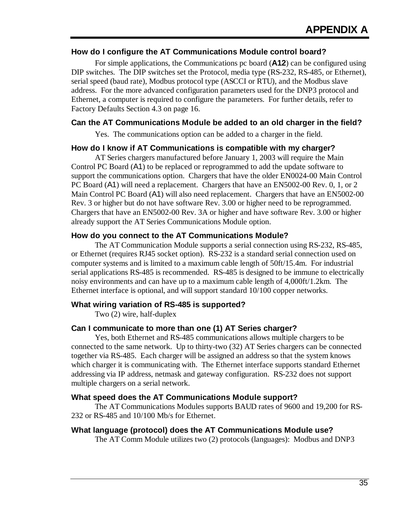#### **How do I configure the AT Communications Module control board?**

 For simple applications, the Communications pc board (**A12**) can be configured using DIP switches. The DIP switches set the Protocol, media type (RS-232, RS-485, or Ethernet), serial speed (baud rate), Modbus protocol type (ASCCI or RTU), and the Modbus slave address. For the more advanced configuration parameters used for the DNP3 protocol and Ethernet, a computer is required to configure the parameters. For further details, refer to [Factory Defaults](#page-17-0) Section [4.3](#page-17-0) on page [16.](#page-17-0)

#### **Can the AT Communications Module be added to an old charger in the field?**

Yes. The communications option can be added to a charger in the field.

#### **How do I know if AT Communications is compatible with my charger?**

 AT Series chargers manufactured before January 1, 2003 will require the Main Control PC Board (A1) to be replaced or reprogrammed to add the update software to support the communications option. Chargers that have the older EN0024-00 Main Control PC Board (A1) will need a replacement. Chargers that have an EN5002-00 Rev. 0, 1, or 2 Main Control PC Board (A1) will also need replacement. Chargers that have an EN5002-00 Rev. 3 or higher but do not have software Rev. 3.00 or higher need to be reprogrammed. Chargers that have an EN5002-00 Rev. 3A or higher and have software Rev. 3.00 or higher already support the AT Series Communications Module option.

#### **How do you connect to the AT Communications Module?**

 The AT Communication Module supports a serial connection using RS-232, RS-485, or Ethernet (requires RJ45 socket option). RS-232 is a standard serial connection used on computer systems and is limited to a maximum cable length of 50ft/15.4m. For industrial serial applications RS-485 is recommended. RS-485 is designed to be immune to electrically noisy environments and can have up to a maximum cable length of 4,000ft/1.2km. The Ethernet interface is optional, and will support standard 10/100 copper networks.

#### **What wiring variation of RS-485 is supported?**

Two (2) wire, half-duplex

#### **Can I communicate to more than one (1) AT Series charger?**

 Yes, both Ethernet and RS-485 communications allows multiple chargers to be connected to the same network. Up to thirty-two (32) AT Series chargers can be connected together via RS-485. Each charger will be assigned an address so that the system knows which charger it is communicating with. The Ethernet interface supports standard Ethernet addressing via IP address, netmask and gateway configuration. RS-232 does not support multiple chargers on a serial network.

#### **What speed does the AT Communications Module support?**

 The AT Communications Modules supports BAUD rates of 9600 and 19,200 for RS-232 or RS-485 and 10/100 Mb/s for Ethernet.

#### **What language (protocol) does the AT Communications Module use?**

The AT Comm Module utilizes two (2) protocols (languages): Modbus and DNP3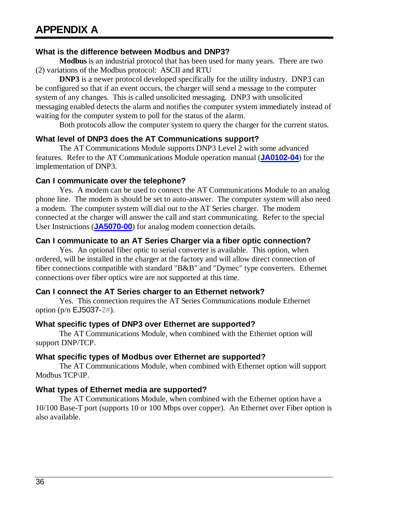#### **What is the difference between Modbus and DNP3?**

 **Modbus** is an industrial protocol that has been used for many years. There are two (2) variations of the Modbus protocol: ASCII and RTU

 **DNP3** is a newer protocol developed specifically for the utility industry. DNP3 can be configured so that if an event occurs, the charger will send a message to the computer system of any changes. This is called unsolicited messaging. DNP3 with unsolicited messaging enabled detects the alarm and notifies the computer system immediately instead of waiting for the computer system to poll for the status of the alarm.

Both protocols allow the computer system to query the charger for the current status.

#### **What level of DNP3 does the AT Communications support?**

 The AT Communications Module supports DNP3 Level 2 with some advanced features. Refer to the AT Communications Module operation manual (**[JA0102-04](http://www.atseries.net/PDFs/JA0102-04.pdf)**) for the implementation of DNP3.

#### **Can I communicate over the telephone?**

 Yes. A modem can be used to connect the AT Communications Module to an analog phone line. The modem is should be set to auto-answer. The computer system will also need a modem. The computer system will dial out to the AT Series charger. The modem connected at the charger will answer the call and start communicating. Refer to the special User Instructions (**[JA5070-00](http://www.atseries.net/PDFs/JA5070-00.pdf)**) for analog modem connection details.

#### **Can I communicate to an AT Series Charger via a fiber optic connection?**

 Yes. An optional fiber optic to serial converter is available. This option, when ordered, will be installed in the charger at the factory and will allow direct connection of fiber connections compatible with standard "B&B" and "Dymec" type converters. Ethernet connections over fiber optics wire are not supported at this time.

#### **Can I connect the AT Series charger to an Ethernet network?**

 Yes. This connection requires the AT Series Communications module Ethernet option (p/n EJ5037-2#).

#### **What specific types of DNP3 over Ethernet are supported?**

 The AT Communications Module, when combined with the Ethernet option will support DNP/TCP.

#### **What specific types of Modbus over Ethernet are supported?**

 The AT Communications Module, when combined with Ethernet option will support Modbus TCP\IP.

#### **What types of Ethernet media are supported?**

 The AT Communications Module, when combined with the Ethernet option have a 10/100 Base-T port (supports 10 or 100 Mbps over copper). An Ethernet over Fiber option is also available.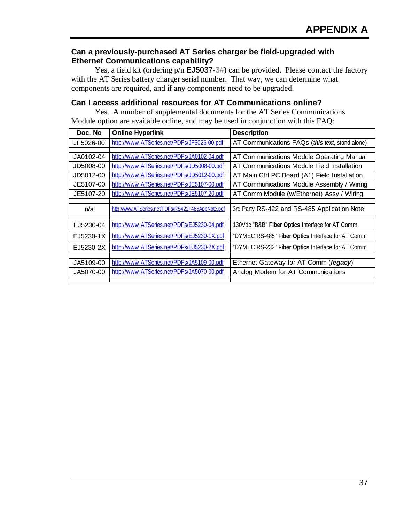#### **Can a previously-purchased AT Series charger be field-upgraded with Ethernet Communications capability?**

Yes, a field kit (ordering  $p/n$  EJ5037-3#) can be provided. Please contact the factory with the AT Series battery charger serial number. That way, we can determine what components are required, and if any components need to be upgraded.

#### **Can I access additional resources for AT Communications online?**

 Yes. A number of supplemental documents for the AT Series Communications Module option are available online, and may be used in conjunction with this FAQ:

| Doc. No   | <b>Online Hyperlink</b>                           | <b>Description</b>                                |
|-----------|---------------------------------------------------|---------------------------------------------------|
| JF5026-00 | http://www.ATSeries.net/PDFs/JF5026-00.pdf        | AT Communications FAQs (this text, stand-alone)   |
|           |                                                   |                                                   |
| JA0102-04 | http://www.ATSeries.net/PDFs/JA0102-04.pdf        | AT Communications Module Operating Manual         |
| JD5008-00 | http://www.ATSeries.net/PDFs/JD5008-00.pdf        | AT Communications Module Field Installation       |
| JD5012-00 | http://www.ATSeries.net/PDFs/JD5012-00.pdf        | AT Main Ctrl PC Board (A1) Field Installation     |
| JE5107-00 | http://www.ATSeries.net/PDFs/JE5107-00.pdf        | AT Communications Module Assembly / Wiring        |
| JE5107-20 | http://www.ATSeries.net/PDFs/JE5107-20.pdf        | AT Comm Module (w/Ethernet) Assy / Wiring         |
|           |                                                   |                                                   |
| n/a       | http://www.ATSeries.net/PDFs/RS422+485AppNote.pdf | 3rd Party RS-422 and RS-485 Application Note      |
|           |                                                   |                                                   |
| EJ5230-04 | http://www.ATSeries.net/PDFs/EJ5230-04.pdf        | 130Vdc "B&B" Fiber Optics Interface for AT Comm   |
| EJ5230-1X | http://www.ATSeries.net/PDFs/EJ5230-1X.pdf        | "DYMEC RS-485" Fiber Optics Interface for AT Comm |
| EJ5230-2X | http://www.ATSeries.net/PDFs/EJ5230-2X.pdf        | "DYMEC RS-232" Fiber Optics Interface for AT Comm |
|           |                                                   |                                                   |
| JA5109-00 | http://www.ATSeries.net/PDFs/JA5109-00.pdf        | Ethernet Gateway for AT Comm (legacy)             |
| JA5070-00 | http://www.ATSeries.net/PDFs/JA5070-00.pdf        | Analog Modem for AT Communications                |
|           |                                                   |                                                   |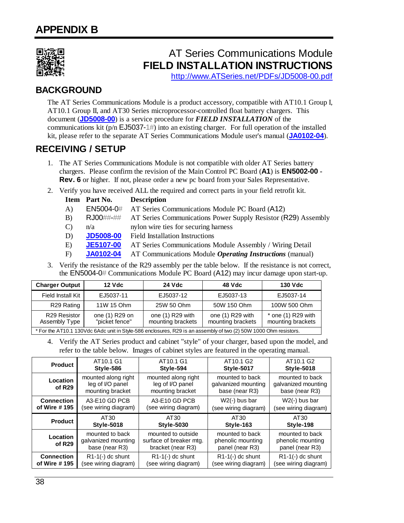<span id="page-39-0"></span>

# AT Series Communications Module **FIELD INSTALLATION INSTRUCTIONS**

[http://www.ATSeries.net/PDFs/JD5008-00.pdf](http://www.atseries.net/PDFs/JD5008-00.pdf)

## **BACKGROUND**

The AT Series Communications Module is a product accessory, compatible with AT10.1 Group I, AT10.1 Group II, and AT30 Series microprocessor-controlled float battery chargers. This document (**[JD5008-00](http://www.atseries.net/PDFs/JD5008-00.pdf)**) is a service procedure for *FIELD INSTALLATION* of the communications kit ( $p/n$  EJ5037-1#) into an existing charger. For full operation of the installed kit, please refer to the separate AT Series Communications Module user's manual (**[JA0102-04](http://www.atseries.net/PDFs/JA0102-04.pdf)**).

## **RECEIVING / SETUP**

- 1. The AT Series Communications Module is not compatible with older AT Series battery chargers. Please confirm the revision of the Main Control PC Board (**A1**) is **EN5002-00 - Rev. 6** or higher. If not, please order a new pc board from your Sales Representative.
- 2. Verify you have received ALL the required and correct parts in your field retrofit kit.

|       | Item Part No.    | <b>Description</b>                                              |
|-------|------------------|-----------------------------------------------------------------|
| A)    | EN5004-0#        | AT Series Communications Module PC Board (A12)                  |
| B)    | <b>RJ00##-##</b> | AT Series Communications Power Supply Resistor (R29) Assembly   |
| C)    | n/a              | nylon wire ties for securing harness                            |
| D)    | <b>JD5008-00</b> | <b>Field Installation Instructions</b>                          |
| E)    | <b>JE5107-00</b> | AT Series Communications Module Assembly / Wiring Detail        |
| $F$ ) | <b>JA0102-04</b> | AT Communications Module <i>Operating Instructions</i> (manual) |

3. Verify the resistance of the R29 assembly per the table below. If the resistance is not correct, the EN5004-0# Communications Module PC Board (A12) may incur damage upon start-up.

| <b>Charger Output</b>                                                                                            | $12$ Vdc                         | 24 Vdc                                | 48 Vdc                                | <b>130 Vdc</b>                            |
|------------------------------------------------------------------------------------------------------------------|----------------------------------|---------------------------------------|---------------------------------------|-------------------------------------------|
| Field Install Kit                                                                                                | EJ5037-11                        | EJ5037-12                             | EJ5037-13                             | EJ5037-14                                 |
| R29 Rating                                                                                                       | 11W 15 Ohm                       | 25W 50 Ohm                            | 50W 150 Ohm                           | 100W 500 Ohm                              |
| R29 Resistor<br>Assembly Type                                                                                    | one (1) R29 on<br>"picket fence" | one (1) R29 with<br>mounting brackets | one (1) R29 with<br>mounting brackets | $*$ one (1) R29 with<br>mounting brackets |
| * For the AT10.1 130Vdc 6Adc unit in Style-586 enclosures, R29 is an assembly of two (2) 50W 1000 Ohm resistors. |                                  |                                       |                                       |                                           |

4. Verify the AT Series product and cabinet "style" of your charger, based upon the model, and refer to the table below. Images of cabinet styles are featured in the operating manual.

| <b>Product</b>                 | AT10.1 G1                                                   | AT10.1 G1                                                          | AT10.1 G2                                                | AT10.1 G2                                                |
|--------------------------------|-------------------------------------------------------------|--------------------------------------------------------------------|----------------------------------------------------------|----------------------------------------------------------|
|                                | Style-586                                                   | Style-594                                                          | Style-5017                                               | <b>Style-5018</b>                                        |
| Location<br>of R <sub>29</sub> | mounted along right<br>leg of I/O panel<br>mounting bracket | mounted along right<br>leg of I/O panel<br>mounting bracket        | mounted to back<br>galvanized mounting<br>base (near R3) | mounted to back<br>galvanized mounting<br>base (near R3) |
| <b>Connection</b>              | A3-E10 GD PCB                                               | A3-E10 GD PCB                                                      | $W2(-)$ bus bar                                          | $W2(-)$ bus bar                                          |
| of Wire #195                   | (see wiring diagram)                                        | (see wiring diagram)                                               | (see wiring diagram)                                     | (see wiring diagram)                                     |
|                                |                                                             |                                                                    |                                                          |                                                          |
| <b>Product</b>                 | AT30                                                        | AT30                                                               | AT30                                                     | AT30                                                     |
|                                | <b>Style-5018</b>                                           | <b>Style-5030</b>                                                  | Style-163                                                | Style-198                                                |
| Location<br>of $R29$           | mounted to back<br>galvanized mounting<br>base (near R3)    | mounted to outside<br>surface of breaker mtg.<br>bracket (near R3) | mounted to back<br>phenolic mounting<br>panel (near R3)  | mounted to back<br>phenolic mounting<br>panel (near R3)  |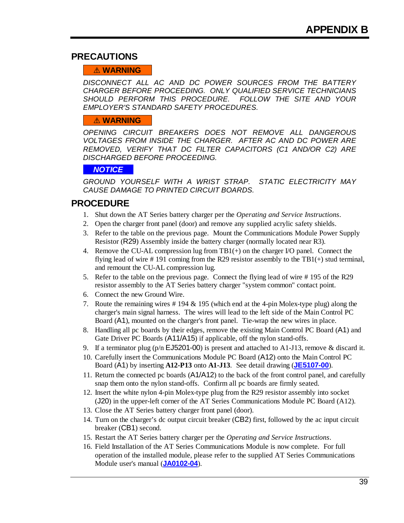## **PRECAUTIONS**

#### $\triangle$  **WARNING**

*DISCONNECT ALL AC AND DC POWER SOURCES FROM THE BATTERY CHARGER BEFORE PROCEEDING. ONLY QUALIFIED SERVICE TECHNICIANS SHOULD PERFORM THIS PROCEDURE. FOLLOW THE SITE AND YOUR EMPLOYER'S STANDARD SAFETY PROCEDURES.* 

#### $\triangle$  **WARNING**

*OPENING CIRCUIT BREAKERS DOES NOT REMOVE ALL DANGEROUS VOLTAGES FROM INSIDE THE CHARGER. AFTER AC AND DC POWER ARE REMOVED, VERIFY THAT DC FILTER CAPACITORS (C1 AND/OR C2) ARE DISCHARGED BEFORE PROCEEDING.* 

#### **- --***NOTICE***- --**

*GROUND YOURSELF WITH A WRIST STRAP. STATIC ELECTRICITY MAY CAUSE DAMAGE TO PRINTED CIRCUIT BOARDS.* 

## **PROCEDURE**

- 1. Shut down the AT Series battery charger per the *Operating and Service Instructions*.
- 2. Open the charger front panel (door) and remove any supplied acrylic safety shields.
- 3. Refer to the table on the previous page. Mount the Communications Module Power Supply Resistor (R29) Assembly inside the battery charger (normally located near R3).
- 4. Remove the CU-AL compression lug from TB1(+) on the charger I/O panel. Connect the flying lead of wire #191 coming from the R29 resistor assembly to the TB1(+) stud terminal, and remount the CU-AL compression lug.
- 5. Refer to the table on the previous page. Connect the flying lead of wire # 195 of the R29 resistor assembly to the AT Series battery charger "system common" contact point.
- 6. Connect the new Ground Wire.
- 7. Route the remaining wires # 194 & 195 (which end at the 4-pin Molex-type plug) along the charger's main signal harness. The wires will lead to the left side of the Main Control PC Board (A1), mounted on the charger's front panel. Tie-wrap the new wires in place.
- 8. Handling all pc boards by their edges, remove the existing Main Control PC Board (A1) and Gate Driver PC Boards (A11/A15) if applicable, off the nylon stand-offs.
- 9. If a terminator plug (p/n EJ5201-00) is present and attached to A1-J13, remove & discard it.
- 10. Carefully insert the Communications Module PC Board (A12) onto the Main Control PC Board (A1) by inserting **A12-P13** onto **A1-J13**. See detail drawing (**[JE5107-00](http://www.atseries.net/PDFs/JE5107-00.pdf)**).
- 11. Return the connected pc boards (A1/A12) to the back of the front control panel, and carefully snap them onto the nylon stand-offs. Confirm all pc boards are firmly seated.
- 12. Insert the white nylon 4-pin Molex-type plug from the R29 resistor assembly into socket (J20) in the upper-left corner of the AT Series Communications Module PC Board (A12).
- 13. Close the AT Series battery charger front panel (door).
- 14. Turn on the charger's dc output circuit breaker (CB2) first, followed by the ac input circuit breaker (CB1) second.
- 15. Restart the AT Series battery charger per the *Operating and Service Instructions*.
- 16. Field Installation of the AT Series Communications Module is now complete. For full operation of the installed module, please refer to the supplied AT Series Communications Module user's manual (**[JA0102-04](http://www.atseries.net/PDFs/JA0102-04.pdf)**).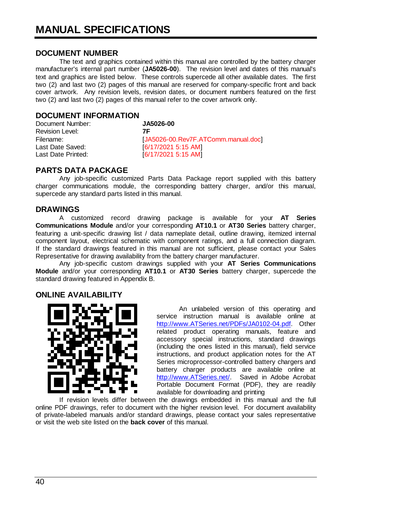#### <span id="page-41-0"></span>**DOCUMENT NUMBER**

 The text and graphics contained within this manual are controlled by the battery charger manufacturer's internal part number (**JA5026-00**). The revision level and dates of this manual's text and graphics are listed below. These controls supercede all other available dates. The first two (2) and last two (2) pages of this manual are reserved for company-specific front and back cover artwork. Any revision levels, revision dates, or document numbers featured on the first two (2) and last two (2) pages of this manual refer to the cover artwork only.

#### **DOCUMENT INFORMATION**

Document Number: **JA5026-00** Revision Level: **7F** Filename: [JA5026-00.Rev7F.ATComm.manual.doc] Last Date Saved: [6/17/2021 5:15 AM]<br>Last Date Printed: [6/17/2021 5:15 AM] [6/17/2021 5:15 AM]

#### **PARTS DATA PACKAGE**

 Any job-specific customized Parts Data Package report supplied with this battery charger communications module, the corresponding battery charger, and/or this manual, supercede any standard parts listed in this manual.

#### **DRAWINGS**

 A customized record drawing package is available for your **AT Series Communications Module** and/or your corresponding **AT10.1** or **AT30 Series** battery charger, featuring a unit-specific drawing list / data nameplate detail, outline drawing, itemized internal component layout, electrical schematic with component ratings, and a full connection diagram. If the standard drawings featured in this manual are not sufficient, please contact your Sales Representative for drawing availability from the battery charger manufacturer.

 Any job-specific custom drawings supplied with your **AT Series Communications Module** and/or your corresponding **AT10.1** or **AT30 Series** battery charger, supercede the standard drawing featured in Appendix B.

#### **ONLINE AVAILABILITY**



 An unlabeled version of this operating and service instruction manual is available online at [http://www.ATSeries.net/PDFs/JA0102-04.pdf.](http://www.atseries.net/PDFs/JA0102-04.pdf) Other related product operating manuals, feature and accessory special instructions, standard drawings (including the ones listed in this manual), field service instructions, and product application notes for the AT Series microprocessor-controlled battery chargers and battery charger products are available online at [http://www.ATSeries.net/.](http://www.atseries.net/) Saved in Adobe Acrobat Portable Document Format (PDF), they are readily available for downloading and printing

 [If revision levels differ betw](http://www.atseries.net/PDFs/JA0102-04.pdf)een the drawings embedded in this manual and the full online PDF drawings, refer to document with the higher revision level. For document availability of private-labeled manuals and/or standard drawings, please contact your sales representative or visit the web site listed on the **back cover** of this manual.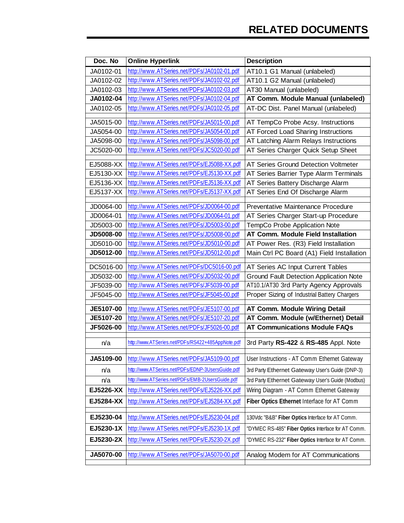| Doc. No   | <b>Online Hyperlink</b>                           | <b>Description</b>                                 |
|-----------|---------------------------------------------------|----------------------------------------------------|
| JA0102-01 | http://www.ATSeries.net/PDFs/JA0102-01.pdf        | AT10.1 G1 Manual (unlabeled)                       |
| JA0102-02 | http://www.ATSeries.net/PDFs/JA0102-02.pdf        | AT10.1 G2 Manual (unlabeled)                       |
| JA0102-03 | http://www.ATSeries.net/PDFs/JA0102-03.pdf        | AT30 Manual (unlabeled)                            |
| JA0102-04 | http://www.ATSeries.net/PDFs/JA0102-04.pdf        | AT Comm. Module Manual (unlabeled)                 |
| JA0102-05 | http://www.ATSeries.net/PDFs/JA0102-05.pdf        | AT-DC Dist. Panel Manual (unlabeled)               |
| JA5015-00 | http://www.ATSeries.net/PDFs/JA5015-00.pdf        | AT TempCo Probe Acsy. Instructions                 |
| JA5054-00 | http://www.ATSeries.net/PDFs/JA5054-00.pdf        | AT Forced Load Sharing Instructions                |
| JA5098-00 | http://www.ATSeries.net/PDFs/JA5098-00.pdf        | AT Latching Alarm Relays Instructions              |
| JC5020-00 | http://www.ATSeries.net/PDFs/JC5020-00.pdf        | AT Series Charger Quick Setup Sheet                |
| EJ5088-XX | http://www.ATSeries.net/PDFs/EJ5088-XX.pdf        | AT Series Ground Detection Voltmeter               |
| EJ5130-XX | http://www.ATSeries.net/PDFs/EJ5130-XX.pdf        | AT Series Barrier Type Alarm Terminals             |
| EJ5136-XX | http://www.ATSeries.net/PDFs/EJ5136-XX.pdf        | AT Series Battery Discharge Alarm                  |
| EJ5137-XX | http://www.ATSeries.net/PDFs/EJ5137-XX.pdf        | AT Series End Of Discharge Alarm                   |
|           |                                                   |                                                    |
| JD0064-00 | http://www.ATSeries.net/PDFs/JD0064-00.pdf        | Preventative Maintenance Procedure                 |
| JD0064-01 | http://www.ATSeries.net/PDFs/JD0064-01.pdf        | AT Series Charger Start-up Procedure               |
| JD5003-00 | http://www.ATSeries.net/PDFs/JD5003-00.pdf        | TempCo Probe Application Note                      |
| JD5008-00 | http://www.ATSeries.net/PDFs/JD5008-00.pdf        | <b>AT Comm. Module Field Installation</b>          |
| JD5010-00 | http://www.ATSeries.net/PDFs/JD5010-00.pdf        | AT Power Res. (R3) Field Installation              |
| JD5012-00 | http://www.ATSeries.net/PDFs/JD5012-00.pdf        | Main Ctrl PC Board (A1) Field Installation         |
| DC5016-00 | http://www.ATSeries.net/PDFs/DC5016-00.pdf        | AT Series AC Input Current Tables                  |
| JD5032-00 | http://www.ATSeries.net/PDFs/JD5032-00.pdf        | <b>Ground Fault Detection Application Note</b>     |
| JF5039-00 | http://www.ATSeries.net/PDFs/JF5039-00.pdf        | AT10.1/AT30 3rd Party Agency Approvals             |
| JF5045-00 | http://www.ATSeries.net/PDFs/JF5045-00.pdf        | Proper Sizing of Industrial Battery Chargers       |
| JE5107-00 | http://www.ATSeries.net/PDFs/JE5107-00.pdf        | <b>AT Comm. Module Wiring Detail</b>               |
| JE5107-20 | http://www.ATSeries.net/PDFs/JE5107-20.pdf        | AT Comm. Module (w/Ethernet) Detail                |
| JF5026-00 | http://www.ATSeries.net/PDFs/JF5026-00.pdf        | <b>AT Communications Module FAQs</b>               |
|           |                                                   |                                                    |
| n/a       | http://www.ATSeries.net/PDFs/RS422+485AppNote.pdf | 3rd Party RS-422 & RS-485 Appl. Note               |
| JA5109-00 | http://www.ATSeries.net/PDFs/JA5109-00.pdf        | User Instructions - AT Comm Ethernet Gateway       |
| n/a       | http://www.ATSeries.net/PDFs/EDNP-3UsersGuide.pdf | 3rd Party Ethernet Gateway User's Guide (DNP-3)    |
| n/a       | http://www.ATSeries.net/PDFs/EMB-2UsersGuide.pdf  | 3rd Party Ethernet Gateway User's Guide (Modbus)   |
| EJ5226-XX | http://www.ATSeries.net/PDFs/EJ5226-XX.pdf        | Wiring Diagram - AT Comm Ethernet Gateway          |
| EJ5284-XX | http://www.ATSeries.net/PDFs/EJ5284-XX.pdf        | Fiber Optics Ethernet Interface for AT Comm        |
|           |                                                   |                                                    |
| EJ5230-04 | http://www.ATSeries.net/PDFs/EJ5230-04.pdf        | 130Vdc "B&B" Fiber Optics Interface for AT Comm.   |
| EJ5230-1X | http://www.ATSeries.net/PDFs/EJ5230-1X.pdf        | "DYMEC RS-485" Fiber Optics Interface for AT Comm. |
| EJ5230-2X | http://www.ATSeries.net/PDFs/EJ5230-2X.pdf        | "DYMEC RS-232" Fiber Optics Interface for AT Comm. |
| JA5070-00 | http://www.ATSeries.net/PDFs/JA5070-00.pdf        | Analog Modem for AT Communications                 |
|           |                                                   |                                                    |